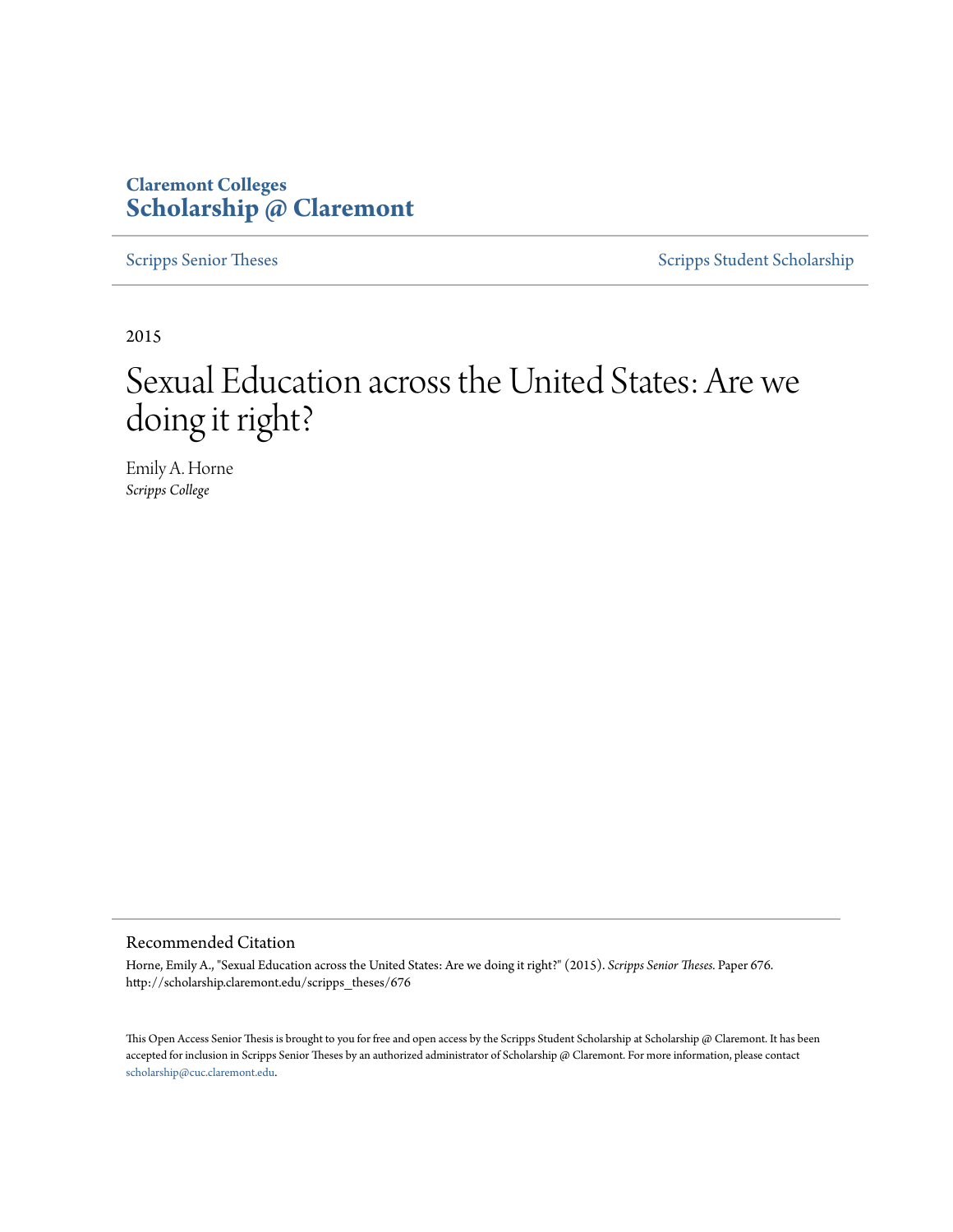# **Claremont Colleges [Scholarship @ Claremont](http://scholarship.claremont.edu)**

[Scripps Senior Theses](http://scholarship.claremont.edu/scripps_theses) [Scripps Student Scholarship](http://scholarship.claremont.edu/scripps_student)

2015

# Sexual Education across the United States: Are we doing it right?

Emily A. Horne *Scripps College*

#### Recommended Citation

Horne, Emily A., "Sexual Education across the United States: Are we doing it right?" (2015). *Scripps Senior Theses.* Paper 676. http://scholarship.claremont.edu/scripps\_theses/676

This Open Access Senior Thesis is brought to you for free and open access by the Scripps Student Scholarship at Scholarship @ Claremont. It has been accepted for inclusion in Scripps Senior Theses by an authorized administrator of Scholarship @ Claremont. For more information, please contact [scholarship@cuc.claremont.edu.](mailto:scholarship@cuc.claremont.edu)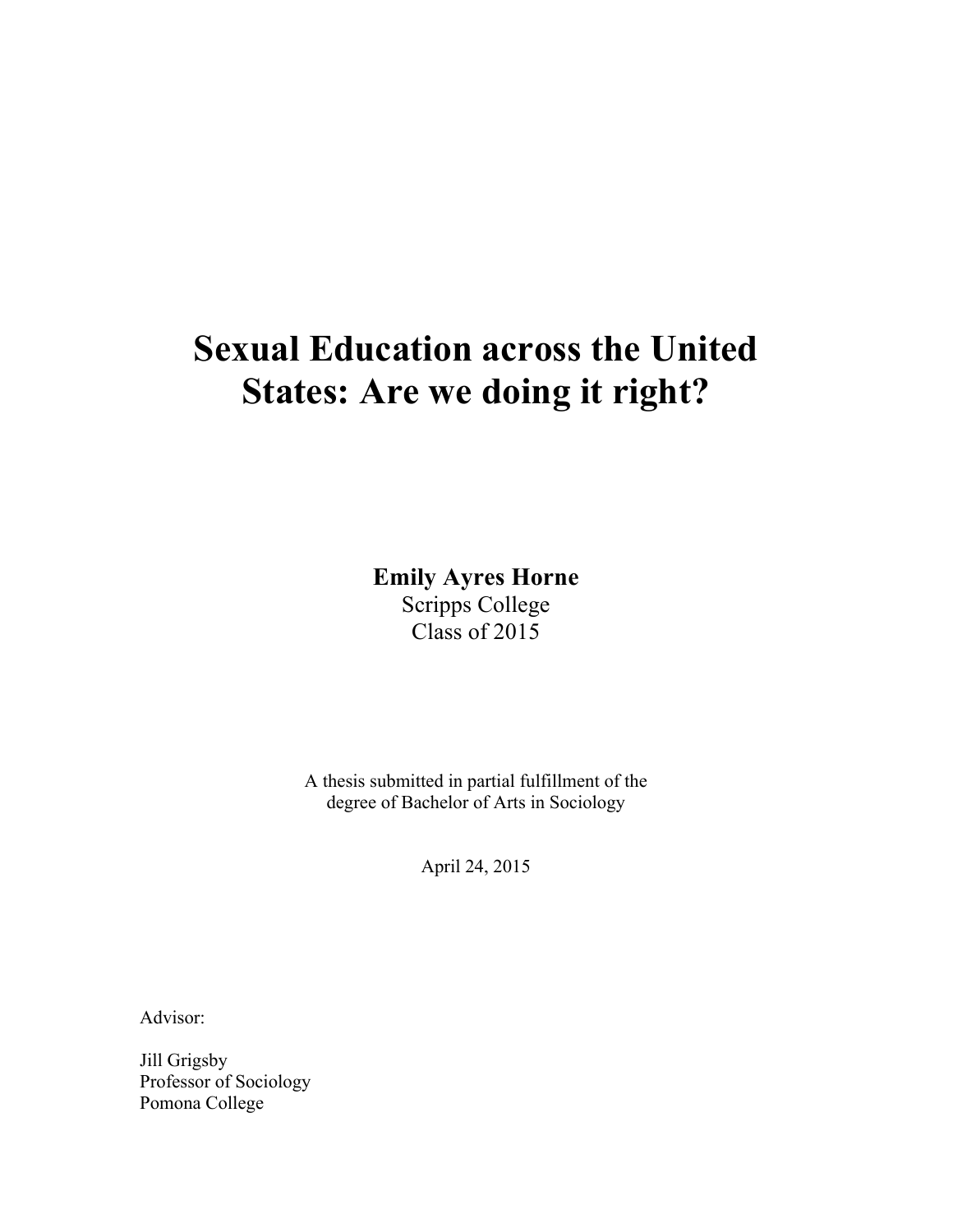# **Sexual Education across the United States: Are we doing it right?**

**Emily Ayres Horne** Scripps College Class of 2015

A thesis submitted in partial fulfillment of the degree of Bachelor of Arts in Sociology

April 24, 2015

Advisor:

Jill Grigsby Professor of Sociology Pomona College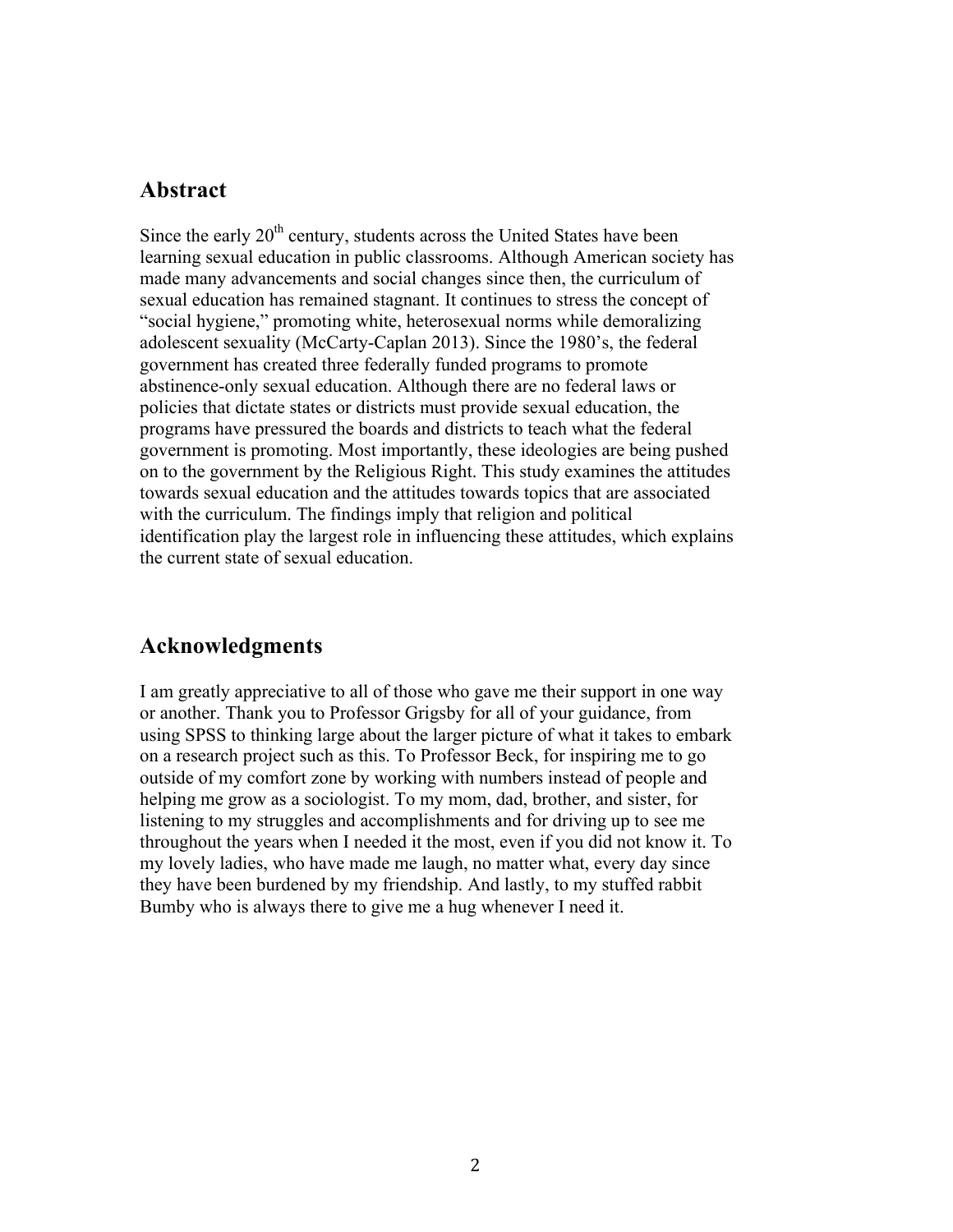# **Abstract**

Since the early  $20<sup>th</sup>$  century, students across the United States have been learning sexual education in public classrooms. Although American society has made many advancements and social changes since then, the curriculum of sexual education has remained stagnant. It continues to stress the concept of "social hygiene," promoting white, heterosexual norms while demoralizing adolescent sexuality (McCarty-Caplan 2013). Since the 1980's, the federal government has created three federally funded programs to promote abstinence-only sexual education. Although there are no federal laws or policies that dictate states or districts must provide sexual education, the programs have pressured the boards and districts to teach what the federal government is promoting. Most importantly, these ideologies are being pushed on to the government by the Religious Right. This study examines the attitudes towards sexual education and the attitudes towards topics that are associated with the curriculum. The findings imply that religion and political identification play the largest role in influencing these attitudes, which explains the current state of sexual education.

# **Acknowledgments**

I am greatly appreciative to all of those who gave me their support in one way or another. Thank you to Professor Grigsby for all of your guidance, from using SPSS to thinking large about the larger picture of what it takes to embark on a research project such as this. To Professor Beck, for inspiring me to go outside of my comfort zone by working with numbers instead of people and helping me grow as a sociologist. To my mom, dad, brother, and sister, for listening to my struggles and accomplishments and for driving up to see me throughout the years when I needed it the most, even if you did not know it. To my lovely ladies, who have made me laugh, no matter what, every day since they have been burdened by my friendship. And lastly, to my stuffed rabbit Bumby who is always there to give me a hug whenever I need it.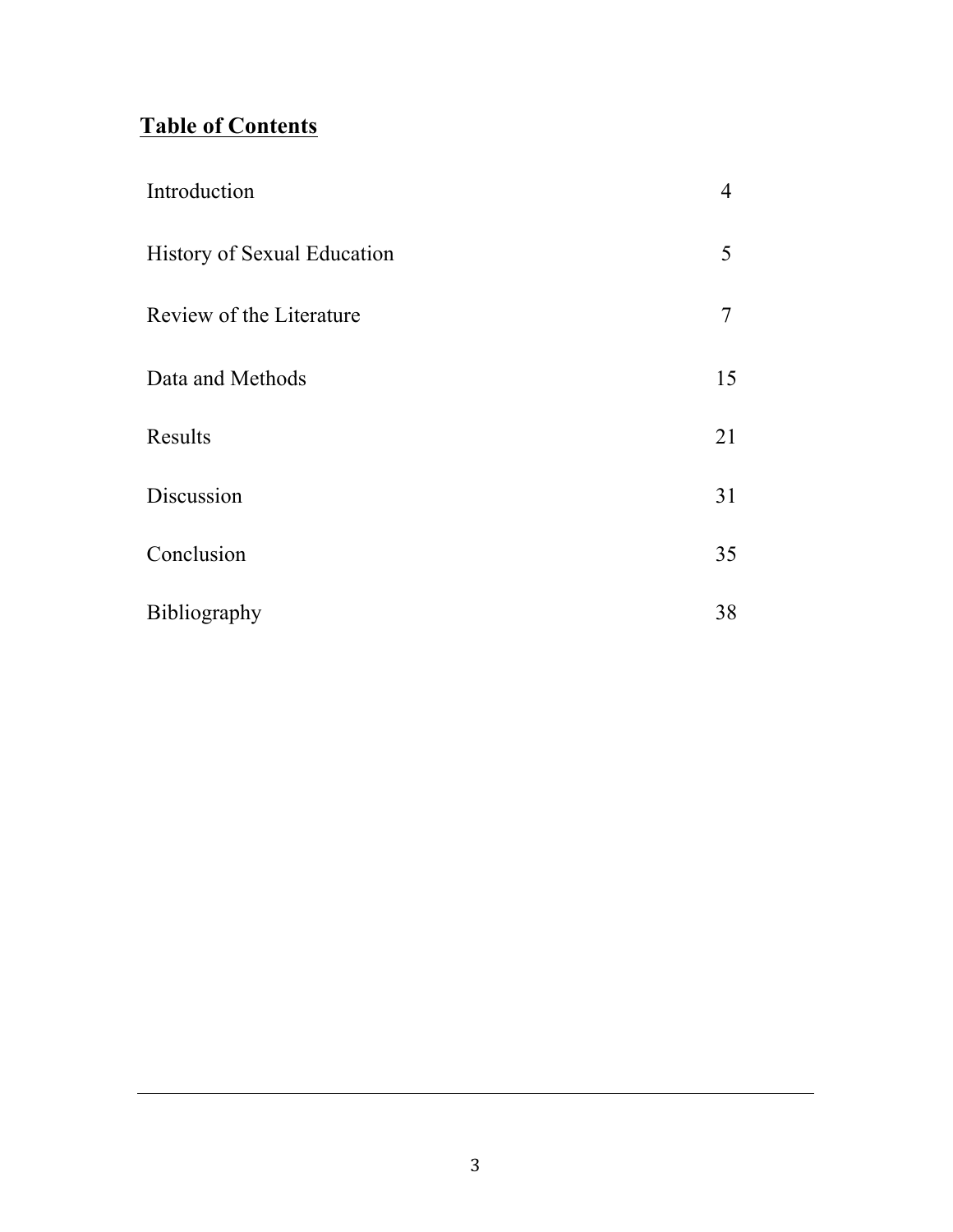# **Table of Contents**

| Introduction                       | 4  |
|------------------------------------|----|
| <b>History of Sexual Education</b> | 5  |
| Review of the Literature           | 7  |
| Data and Methods                   | 15 |
| Results                            | 21 |
| Discussion                         | 31 |
| Conclusion                         | 35 |
| Bibliography                       | 38 |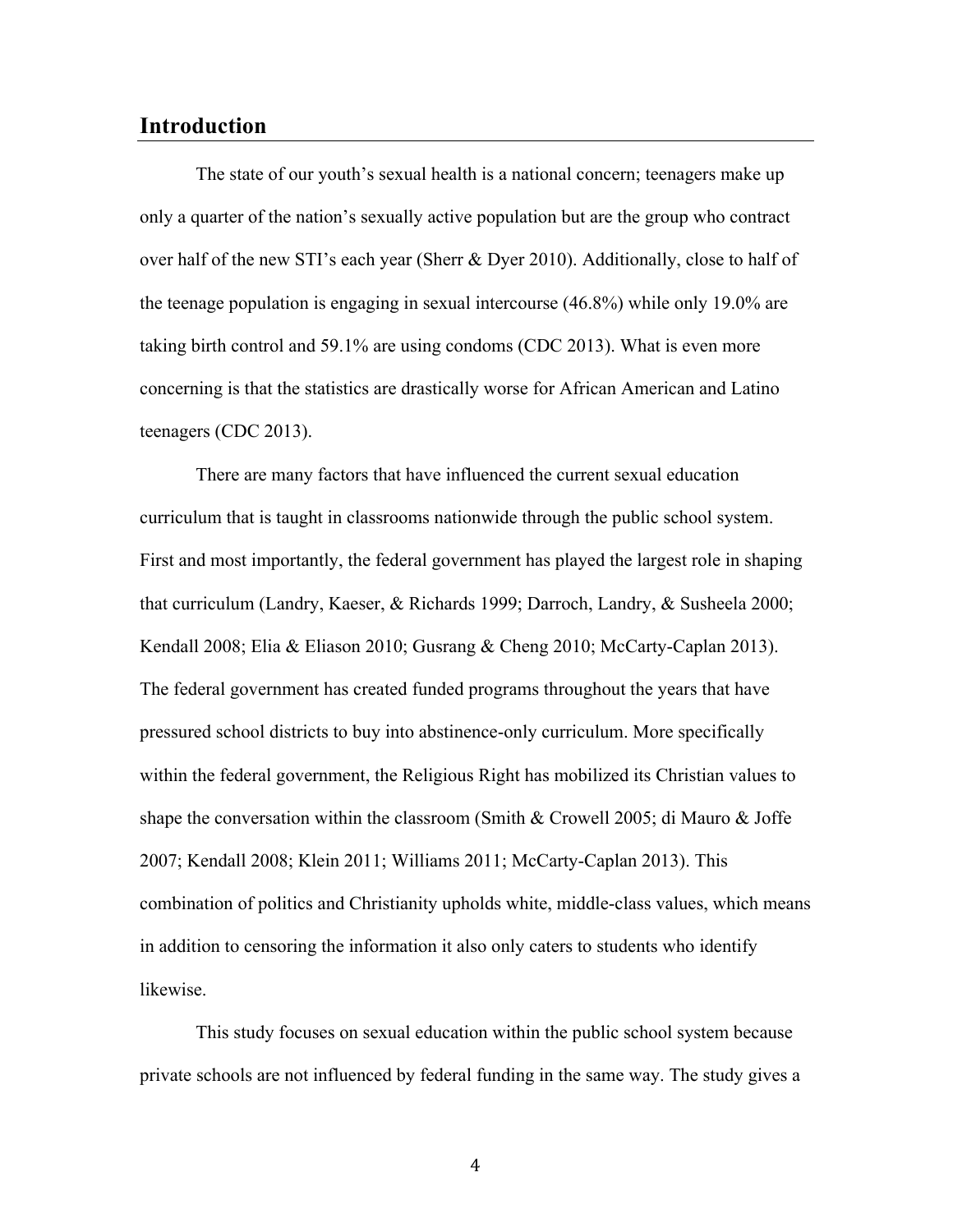## **Introduction**

The state of our youth's sexual health is a national concern; teenagers make up only a quarter of the nation's sexually active population but are the group who contract over half of the new STI's each year (Sherr & Dyer 2010). Additionally, close to half of the teenage population is engaging in sexual intercourse (46.8%) while only 19.0% are taking birth control and 59.1% are using condoms (CDC 2013). What is even more concerning is that the statistics are drastically worse for African American and Latino teenagers (CDC 2013).

There are many factors that have influenced the current sexual education curriculum that is taught in classrooms nationwide through the public school system. First and most importantly, the federal government has played the largest role in shaping that curriculum (Landry, Kaeser, & Richards 1999; Darroch, Landry, & Susheela 2000; Kendall 2008; Elia & Eliason 2010; Gusrang & Cheng 2010; McCarty-Caplan 2013). The federal government has created funded programs throughout the years that have pressured school districts to buy into abstinence-only curriculum. More specifically within the federal government, the Religious Right has mobilized its Christian values to shape the conversation within the classroom (Smith & Crowell 2005; di Mauro & Joffe 2007; Kendall 2008; Klein 2011; Williams 2011; McCarty-Caplan 2013). This combination of politics and Christianity upholds white, middle-class values, which means in addition to censoring the information it also only caters to students who identify likewise.

This study focuses on sexual education within the public school system because private schools are not influenced by federal funding in the same way. The study gives a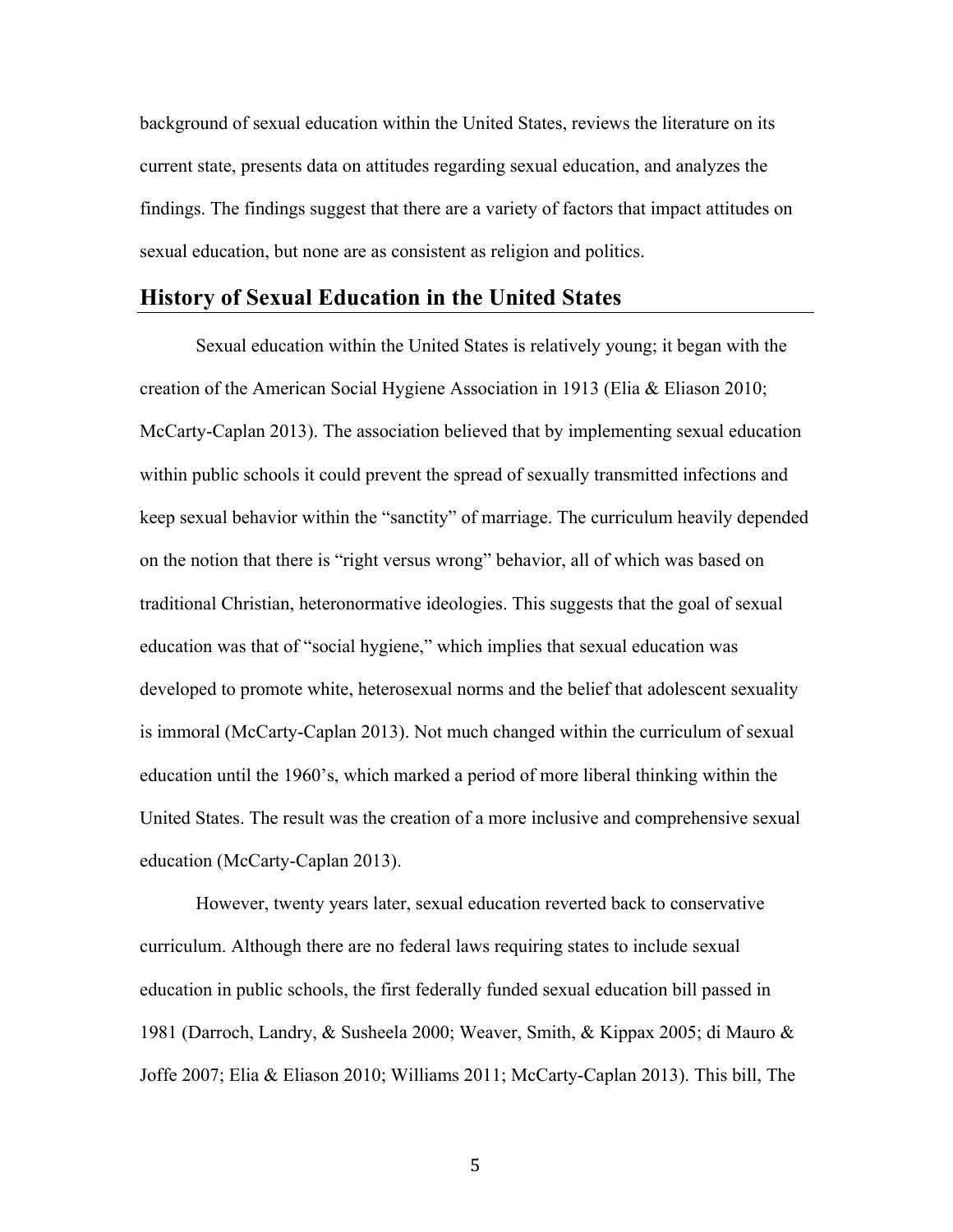background of sexual education within the United States, reviews the literature on its current state, presents data on attitudes regarding sexual education, and analyzes the findings. The findings suggest that there are a variety of factors that impact attitudes on sexual education, but none are as consistent as religion and politics.

#### **History of Sexual Education in the United States**

Sexual education within the United States is relatively young; it began with the creation of the American Social Hygiene Association in 1913 (Elia & Eliason 2010; McCarty-Caplan 2013). The association believed that by implementing sexual education within public schools it could prevent the spread of sexually transmitted infections and keep sexual behavior within the "sanctity" of marriage. The curriculum heavily depended on the notion that there is "right versus wrong" behavior, all of which was based on traditional Christian, heteronormative ideologies. This suggests that the goal of sexual education was that of "social hygiene," which implies that sexual education was developed to promote white, heterosexual norms and the belief that adolescent sexuality is immoral (McCarty-Caplan 2013). Not much changed within the curriculum of sexual education until the 1960's, which marked a period of more liberal thinking within the United States. The result was the creation of a more inclusive and comprehensive sexual education (McCarty-Caplan 2013).

However, twenty years later, sexual education reverted back to conservative curriculum. Although there are no federal laws requiring states to include sexual education in public schools, the first federally funded sexual education bill passed in 1981 (Darroch, Landry, & Susheela 2000; Weaver, Smith, & Kippax 2005; di Mauro & Joffe 2007; Elia & Eliason 2010; Williams 2011; McCarty-Caplan 2013). This bill, The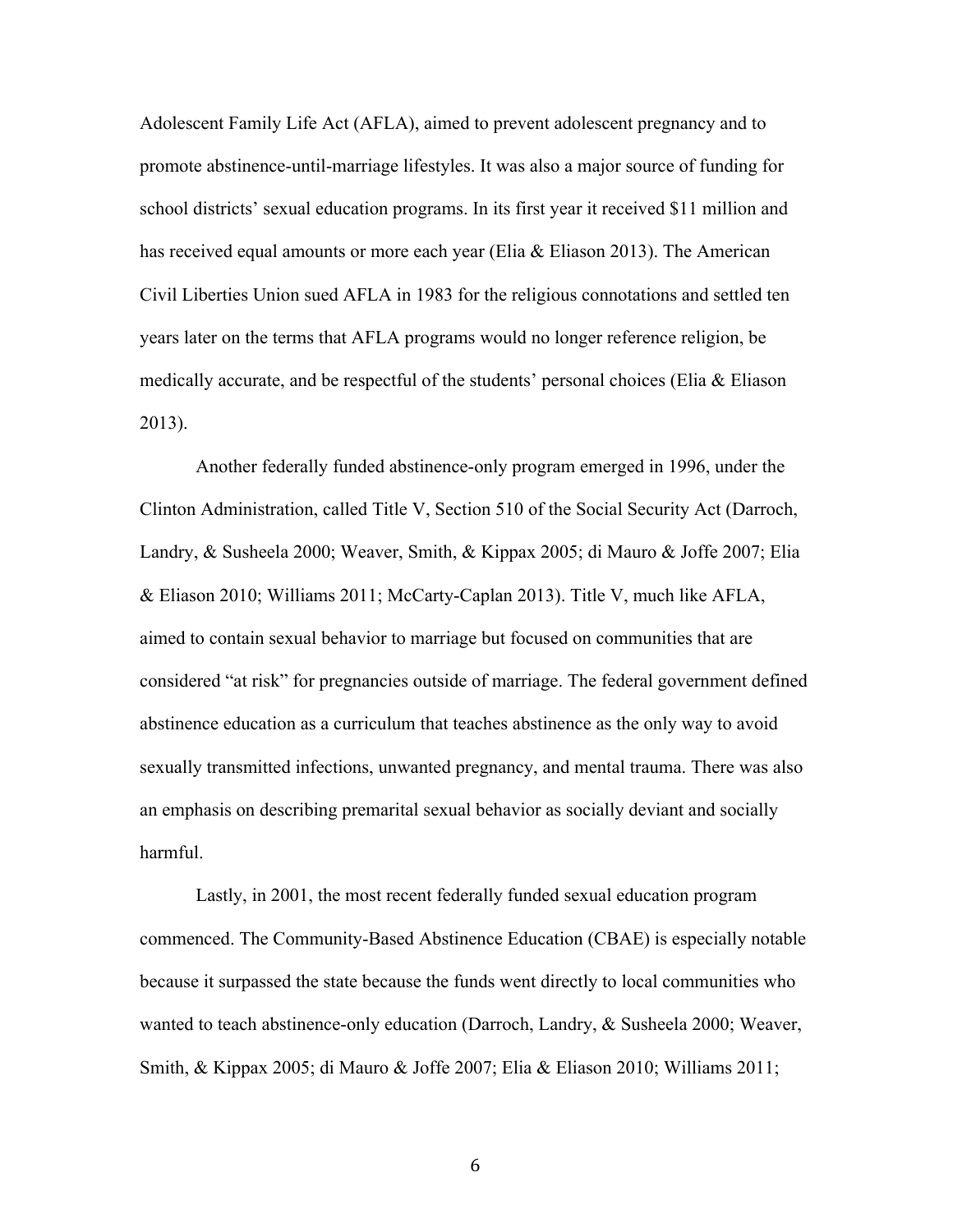Adolescent Family Life Act (AFLA), aimed to prevent adolescent pregnancy and to promote abstinence-until-marriage lifestyles. It was also a major source of funding for school districts' sexual education programs. In its first year it received \$11 million and has received equal amounts or more each year (Elia & Eliason 2013). The American Civil Liberties Union sued AFLA in 1983 for the religious connotations and settled ten years later on the terms that AFLA programs would no longer reference religion, be medically accurate, and be respectful of the students' personal choices (Elia & Eliason 2013).

Another federally funded abstinence-only program emerged in 1996, under the Clinton Administration, called Title V, Section 510 of the Social Security Act (Darroch, Landry, & Susheela 2000; Weaver, Smith, & Kippax 2005; di Mauro & Joffe 2007; Elia & Eliason 2010; Williams 2011; McCarty-Caplan 2013). Title V, much like AFLA, aimed to contain sexual behavior to marriage but focused on communities that are considered "at risk" for pregnancies outside of marriage. The federal government defined abstinence education as a curriculum that teaches abstinence as the only way to avoid sexually transmitted infections, unwanted pregnancy, and mental trauma. There was also an emphasis on describing premarital sexual behavior as socially deviant and socially harmful.

Lastly, in 2001, the most recent federally funded sexual education program commenced. The Community-Based Abstinence Education (CBAE) is especially notable because it surpassed the state because the funds went directly to local communities who wanted to teach abstinence-only education (Darroch, Landry, & Susheela 2000; Weaver, Smith, & Kippax 2005; di Mauro & Joffe 2007; Elia & Eliason 2010; Williams 2011;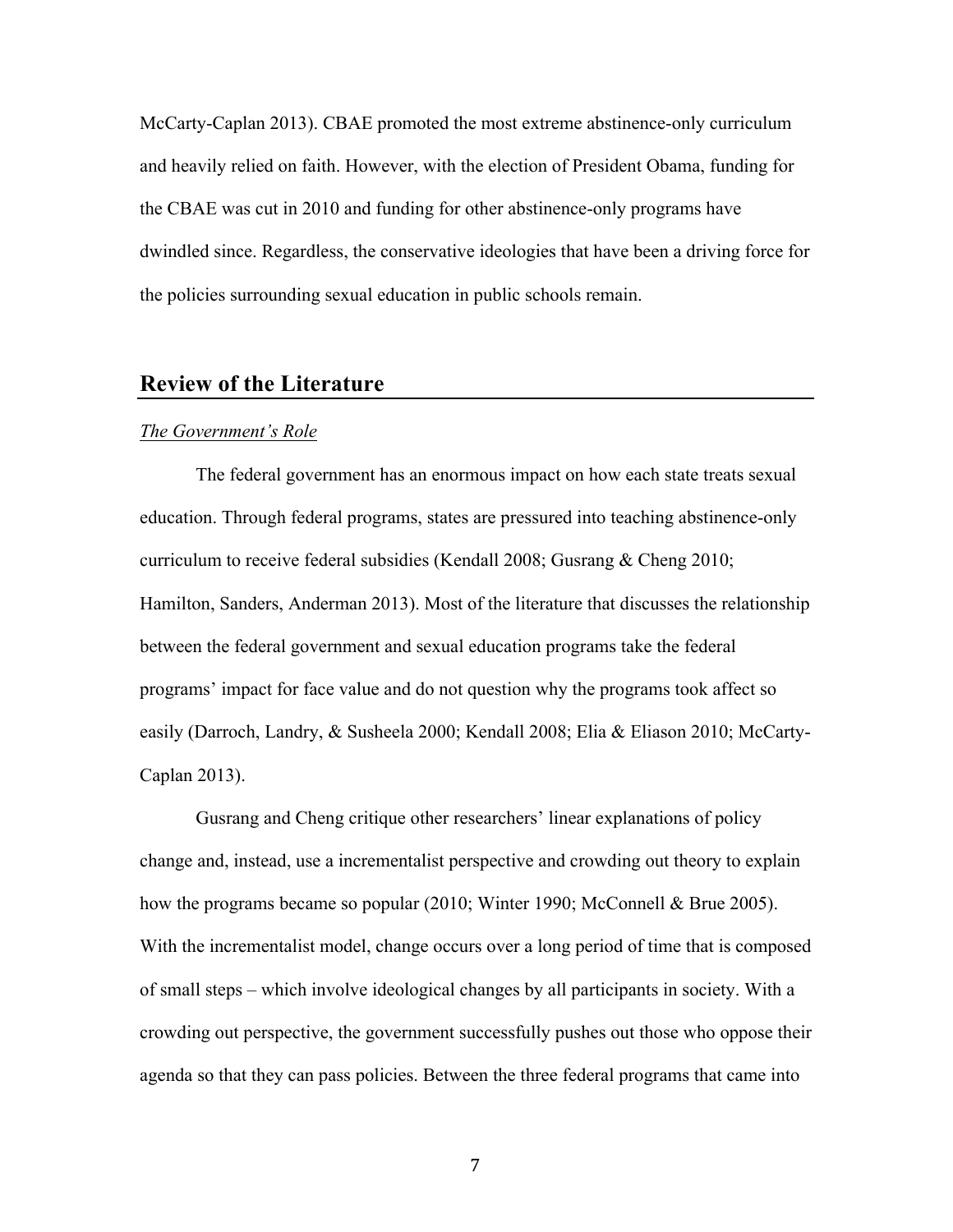McCarty-Caplan 2013). CBAE promoted the most extreme abstinence-only curriculum and heavily relied on faith. However, with the election of President Obama, funding for the CBAE was cut in 2010 and funding for other abstinence-only programs have dwindled since. Regardless, the conservative ideologies that have been a driving force for the policies surrounding sexual education in public schools remain.

#### **Review of the Literature**

#### *The Government's Role*

The federal government has an enormous impact on how each state treats sexual education. Through federal programs, states are pressured into teaching abstinence-only curriculum to receive federal subsidies (Kendall 2008; Gusrang & Cheng 2010; Hamilton, Sanders, Anderman 2013). Most of the literature that discusses the relationship between the federal government and sexual education programs take the federal programs' impact for face value and do not question why the programs took affect so easily (Darroch, Landry, & Susheela 2000; Kendall 2008; Elia & Eliason 2010; McCarty-Caplan 2013).

Gusrang and Cheng critique other researchers' linear explanations of policy change and, instead, use a incrementalist perspective and crowding out theory to explain how the programs became so popular (2010; Winter 1990; McConnell & Brue 2005). With the incrementalist model, change occurs over a long period of time that is composed of small steps – which involve ideological changes by all participants in society. With a crowding out perspective, the government successfully pushes out those who oppose their agenda so that they can pass policies. Between the three federal programs that came into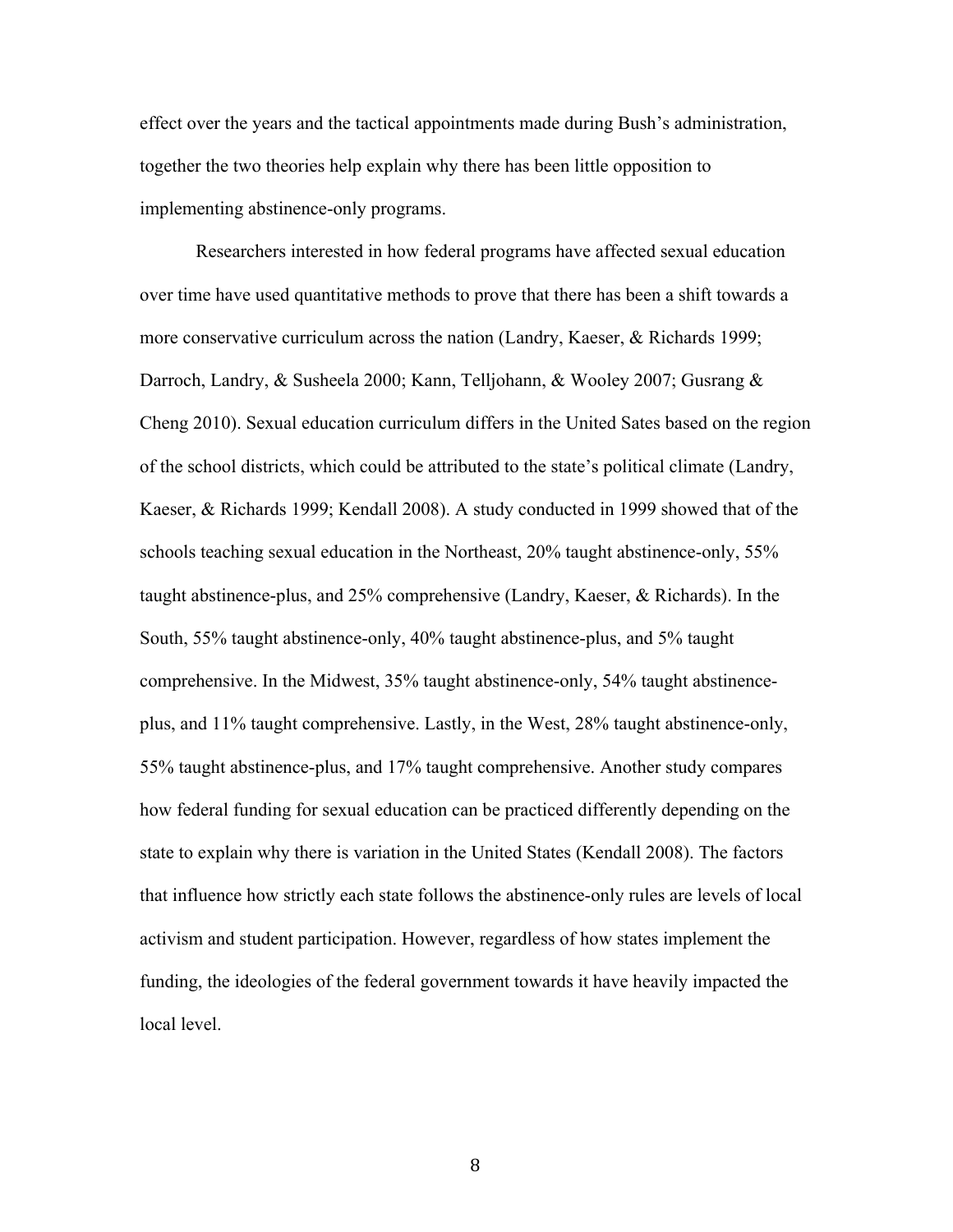effect over the years and the tactical appointments made during Bush's administration, together the two theories help explain why there has been little opposition to implementing abstinence-only programs.

Researchers interested in how federal programs have affected sexual education over time have used quantitative methods to prove that there has been a shift towards a more conservative curriculum across the nation (Landry, Kaeser, & Richards 1999; Darroch, Landry, & Susheela 2000; Kann, Telljohann, & Wooley 2007; Gusrang & Cheng 2010). Sexual education curriculum differs in the United Sates based on the region of the school districts, which could be attributed to the state's political climate (Landry, Kaeser, & Richards 1999; Kendall 2008). A study conducted in 1999 showed that of the schools teaching sexual education in the Northeast, 20% taught abstinence-only, 55% taught abstinence-plus, and 25% comprehensive (Landry, Kaeser, & Richards). In the South, 55% taught abstinence-only, 40% taught abstinence-plus, and 5% taught comprehensive. In the Midwest, 35% taught abstinence-only, 54% taught abstinenceplus, and 11% taught comprehensive. Lastly, in the West, 28% taught abstinence-only, 55% taught abstinence-plus, and 17% taught comprehensive. Another study compares how federal funding for sexual education can be practiced differently depending on the state to explain why there is variation in the United States (Kendall 2008). The factors that influence how strictly each state follows the abstinence-only rules are levels of local activism and student participation. However, regardless of how states implement the funding, the ideologies of the federal government towards it have heavily impacted the local level.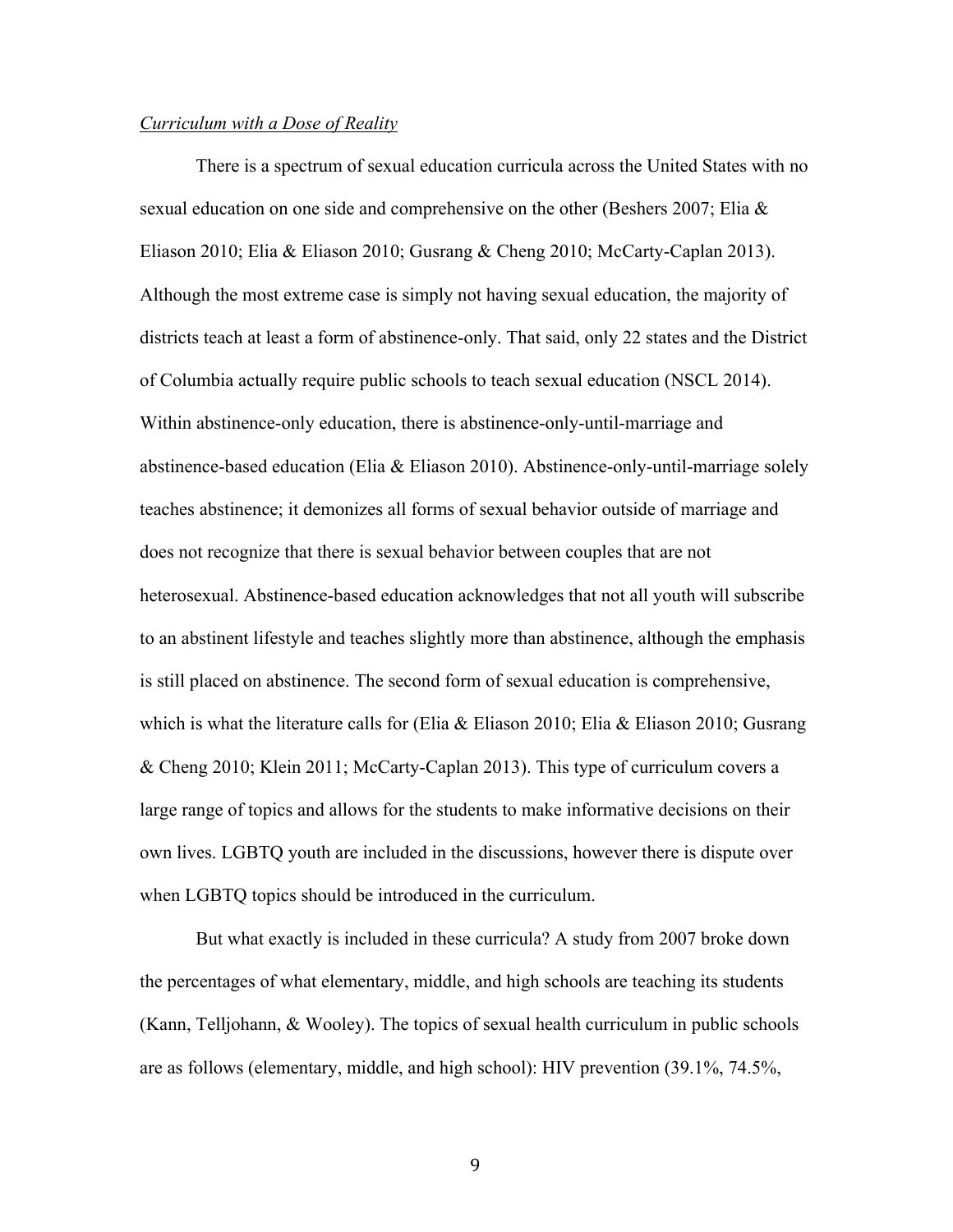#### *Curriculum with a Dose of Reality*

There is a spectrum of sexual education curricula across the United States with no sexual education on one side and comprehensive on the other (Beshers 2007; Elia & Eliason 2010; Elia & Eliason 2010; Gusrang & Cheng 2010; McCarty-Caplan 2013). Although the most extreme case is simply not having sexual education, the majority of districts teach at least a form of abstinence-only. That said, only 22 states and the District of Columbia actually require public schools to teach sexual education (NSCL 2014). Within abstinence-only education, there is abstinence-only-until-marriage and abstinence-based education (Elia & Eliason 2010). Abstinence-only-until-marriage solely teaches abstinence; it demonizes all forms of sexual behavior outside of marriage and does not recognize that there is sexual behavior between couples that are not heterosexual. Abstinence-based education acknowledges that not all youth will subscribe to an abstinent lifestyle and teaches slightly more than abstinence, although the emphasis is still placed on abstinence. The second form of sexual education is comprehensive, which is what the literature calls for (Elia & Eliason 2010; Elia & Eliason 2010; Gusrang & Cheng 2010; Klein 2011; McCarty-Caplan 2013). This type of curriculum covers a large range of topics and allows for the students to make informative decisions on their own lives. LGBTQ youth are included in the discussions, however there is dispute over when LGBTQ topics should be introduced in the curriculum.

But what exactly is included in these curricula? A study from 2007 broke down the percentages of what elementary, middle, and high schools are teaching its students (Kann, Telljohann, & Wooley). The topics of sexual health curriculum in public schools are as follows (elementary, middle, and high school): HIV prevention (39.1%, 74.5%,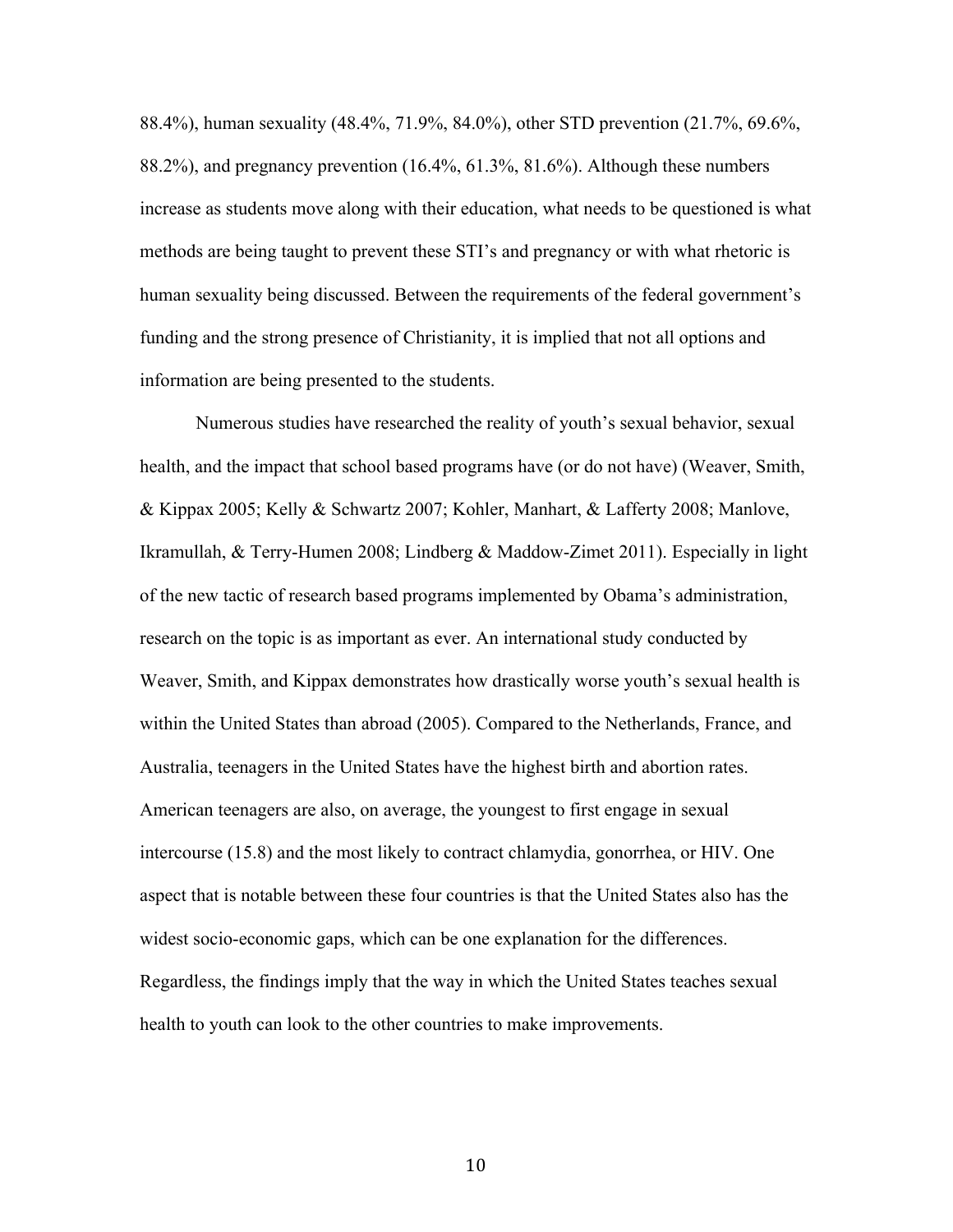88.4%), human sexuality (48.4%, 71.9%, 84.0%), other STD prevention (21.7%, 69.6%, 88.2%), and pregnancy prevention (16.4%, 61.3%, 81.6%). Although these numbers increase as students move along with their education, what needs to be questioned is what methods are being taught to prevent these STI's and pregnancy or with what rhetoric is human sexuality being discussed. Between the requirements of the federal government's funding and the strong presence of Christianity, it is implied that not all options and information are being presented to the students.

Numerous studies have researched the reality of youth's sexual behavior, sexual health, and the impact that school based programs have (or do not have) (Weaver, Smith, & Kippax 2005; Kelly & Schwartz 2007; Kohler, Manhart, & Lafferty 2008; Manlove, Ikramullah, & Terry-Humen 2008; Lindberg & Maddow-Zimet 2011). Especially in light of the new tactic of research based programs implemented by Obama's administration, research on the topic is as important as ever. An international study conducted by Weaver, Smith, and Kippax demonstrates how drastically worse youth's sexual health is within the United States than abroad (2005). Compared to the Netherlands, France, and Australia, teenagers in the United States have the highest birth and abortion rates. American teenagers are also, on average, the youngest to first engage in sexual intercourse (15.8) and the most likely to contract chlamydia, gonorrhea, or HIV. One aspect that is notable between these four countries is that the United States also has the widest socio-economic gaps, which can be one explanation for the differences. Regardless, the findings imply that the way in which the United States teaches sexual health to youth can look to the other countries to make improvements.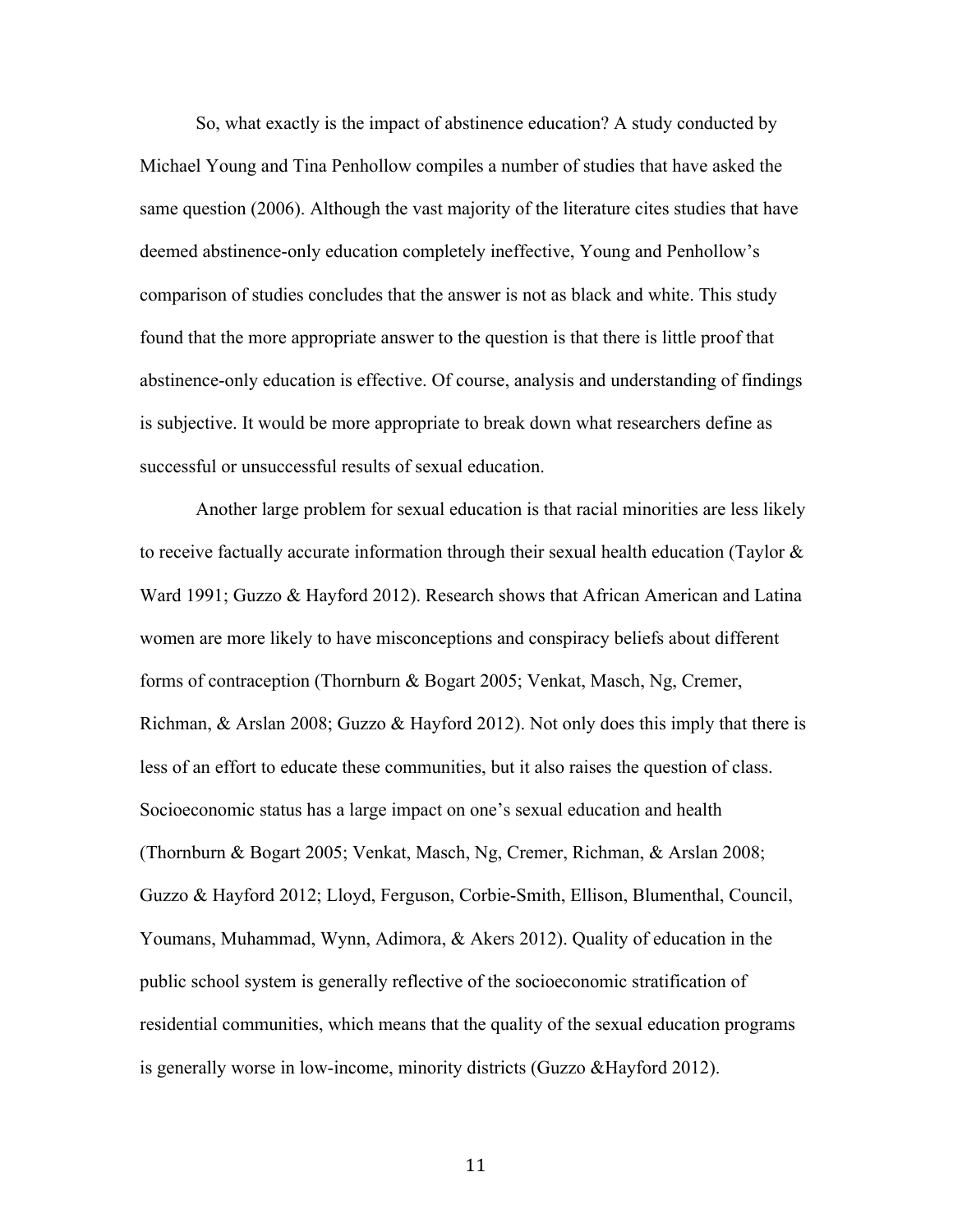So, what exactly is the impact of abstinence education? A study conducted by Michael Young and Tina Penhollow compiles a number of studies that have asked the same question (2006). Although the vast majority of the literature cites studies that have deemed abstinence-only education completely ineffective, Young and Penhollow's comparison of studies concludes that the answer is not as black and white. This study found that the more appropriate answer to the question is that there is little proof that abstinence-only education is effective. Of course, analysis and understanding of findings is subjective. It would be more appropriate to break down what researchers define as successful or unsuccessful results of sexual education.

Another large problem for sexual education is that racial minorities are less likely to receive factually accurate information through their sexual health education (Taylor  $\&$ Ward 1991; Guzzo & Hayford 2012). Research shows that African American and Latina women are more likely to have misconceptions and conspiracy beliefs about different forms of contraception (Thornburn & Bogart 2005; Venkat, Masch, Ng, Cremer, Richman, & Arslan 2008; Guzzo & Hayford 2012). Not only does this imply that there is less of an effort to educate these communities, but it also raises the question of class. Socioeconomic status has a large impact on one's sexual education and health (Thornburn & Bogart 2005; Venkat, Masch, Ng, Cremer, Richman, & Arslan 2008; Guzzo & Hayford 2012; Lloyd, Ferguson, Corbie-Smith, Ellison, Blumenthal, Council, Youmans, Muhammad, Wynn, Adimora, & Akers 2012). Quality of education in the public school system is generally reflective of the socioeconomic stratification of residential communities, which means that the quality of the sexual education programs is generally worse in low-income, minority districts (Guzzo &Hayford 2012).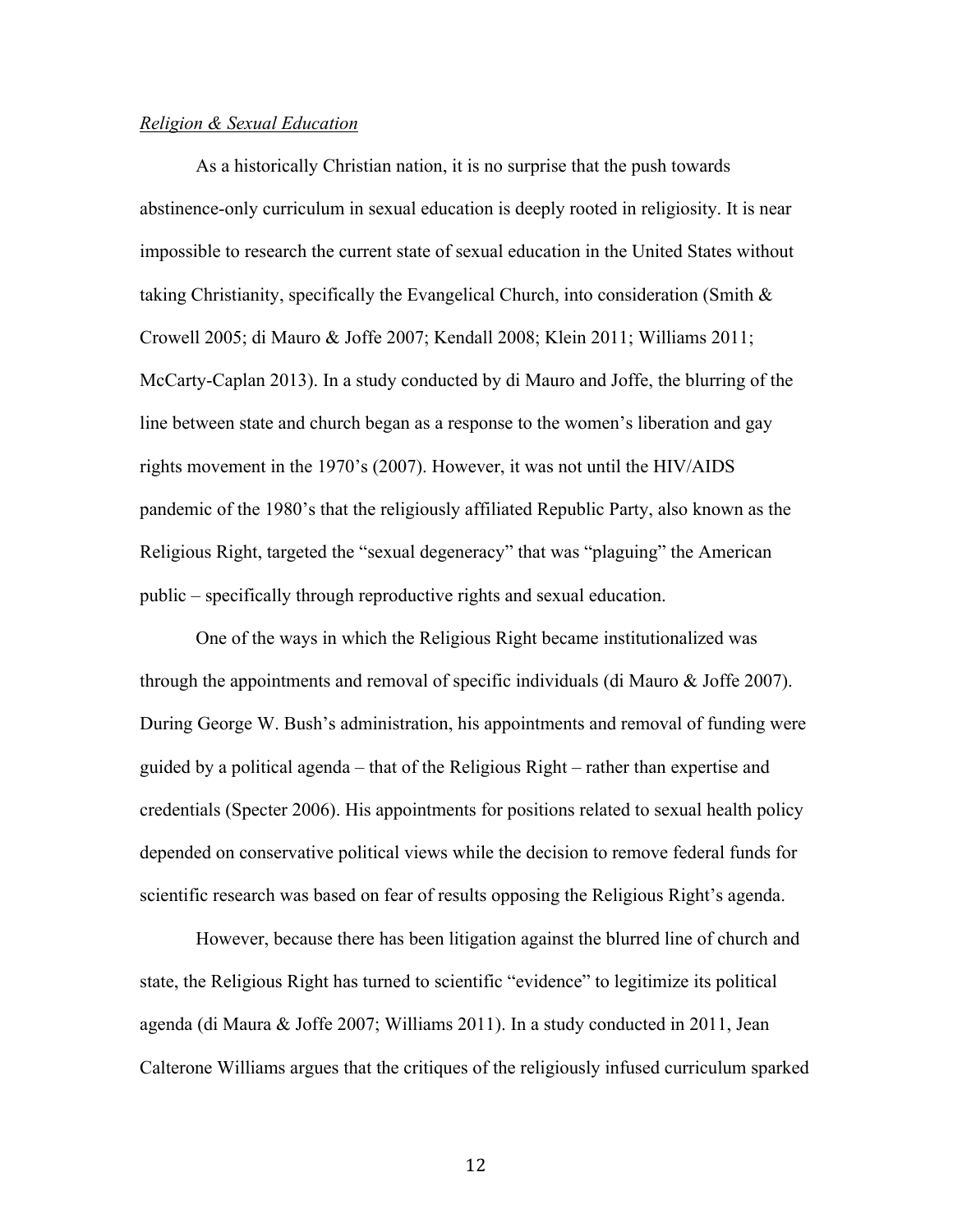#### *Religion & Sexual Education*

As a historically Christian nation, it is no surprise that the push towards abstinence-only curriculum in sexual education is deeply rooted in religiosity. It is near impossible to research the current state of sexual education in the United States without taking Christianity, specifically the Evangelical Church, into consideration (Smith  $\&$ Crowell 2005; di Mauro & Joffe 2007; Kendall 2008; Klein 2011; Williams 2011; McCarty-Caplan 2013). In a study conducted by di Mauro and Joffe, the blurring of the line between state and church began as a response to the women's liberation and gay rights movement in the 1970's (2007). However, it was not until the HIV/AIDS pandemic of the 1980's that the religiously affiliated Republic Party, also known as the Religious Right, targeted the "sexual degeneracy" that was "plaguing" the American public – specifically through reproductive rights and sexual education.

One of the ways in which the Religious Right became institutionalized was through the appointments and removal of specific individuals (di Mauro & Joffe 2007). During George W. Bush's administration, his appointments and removal of funding were guided by a political agenda – that of the Religious Right – rather than expertise and credentials (Specter 2006). His appointments for positions related to sexual health policy depended on conservative political views while the decision to remove federal funds for scientific research was based on fear of results opposing the Religious Right's agenda.

However, because there has been litigation against the blurred line of church and state, the Religious Right has turned to scientific "evidence" to legitimize its political agenda (di Maura & Joffe 2007; Williams 2011). In a study conducted in 2011, Jean Calterone Williams argues that the critiques of the religiously infused curriculum sparked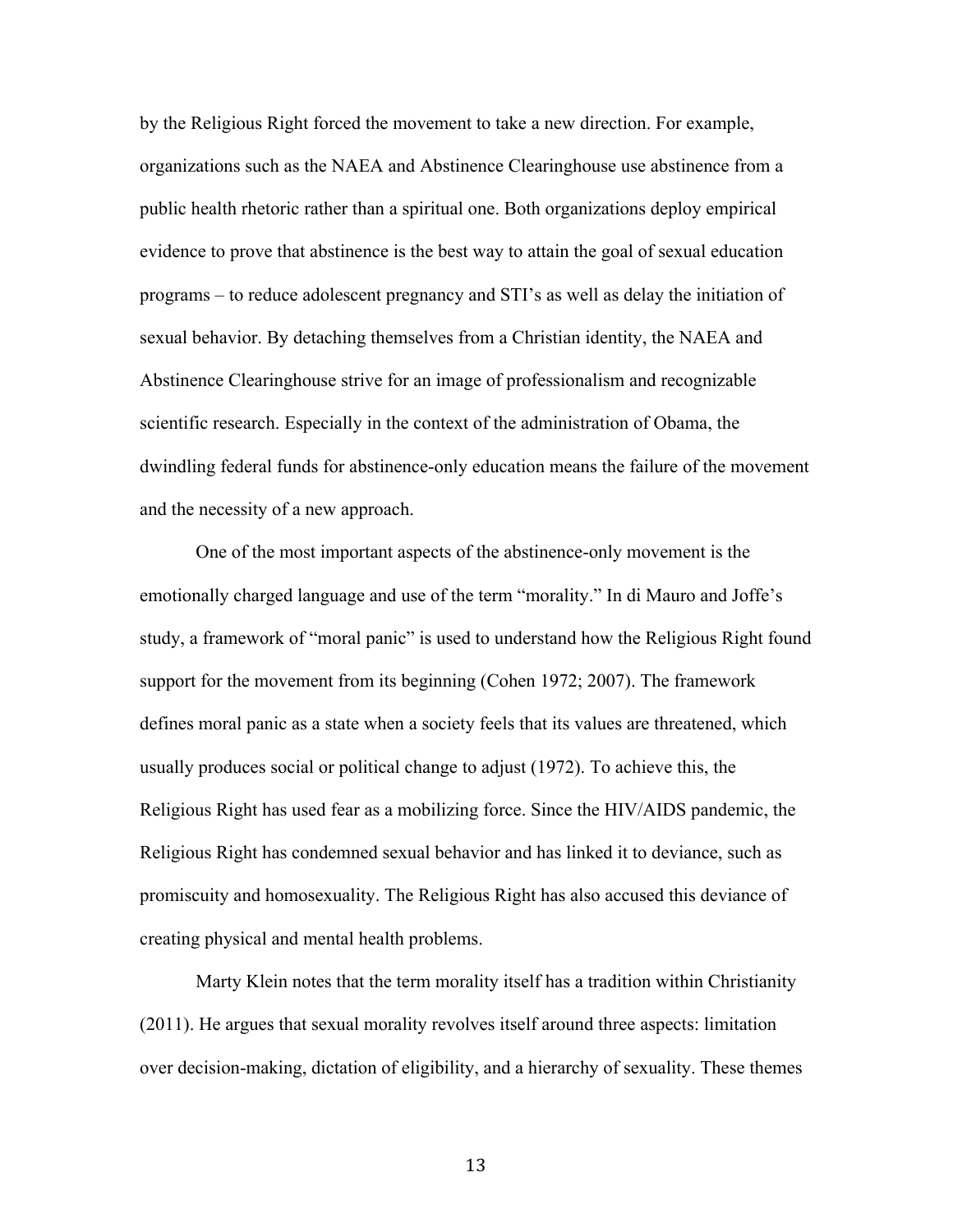by the Religious Right forced the movement to take a new direction. For example, organizations such as the NAEA and Abstinence Clearinghouse use abstinence from a public health rhetoric rather than a spiritual one. Both organizations deploy empirical evidence to prove that abstinence is the best way to attain the goal of sexual education programs – to reduce adolescent pregnancy and STI's as well as delay the initiation of sexual behavior. By detaching themselves from a Christian identity, the NAEA and Abstinence Clearinghouse strive for an image of professionalism and recognizable scientific research. Especially in the context of the administration of Obama, the dwindling federal funds for abstinence-only education means the failure of the movement and the necessity of a new approach.

One of the most important aspects of the abstinence-only movement is the emotionally charged language and use of the term "morality." In di Mauro and Joffe's study, a framework of "moral panic" is used to understand how the Religious Right found support for the movement from its beginning (Cohen 1972; 2007). The framework defines moral panic as a state when a society feels that its values are threatened, which usually produces social or political change to adjust (1972). To achieve this, the Religious Right has used fear as a mobilizing force. Since the HIV/AIDS pandemic, the Religious Right has condemned sexual behavior and has linked it to deviance, such as promiscuity and homosexuality. The Religious Right has also accused this deviance of creating physical and mental health problems.

Marty Klein notes that the term morality itself has a tradition within Christianity (2011). He argues that sexual morality revolves itself around three aspects: limitation over decision-making, dictation of eligibility, and a hierarchy of sexuality. These themes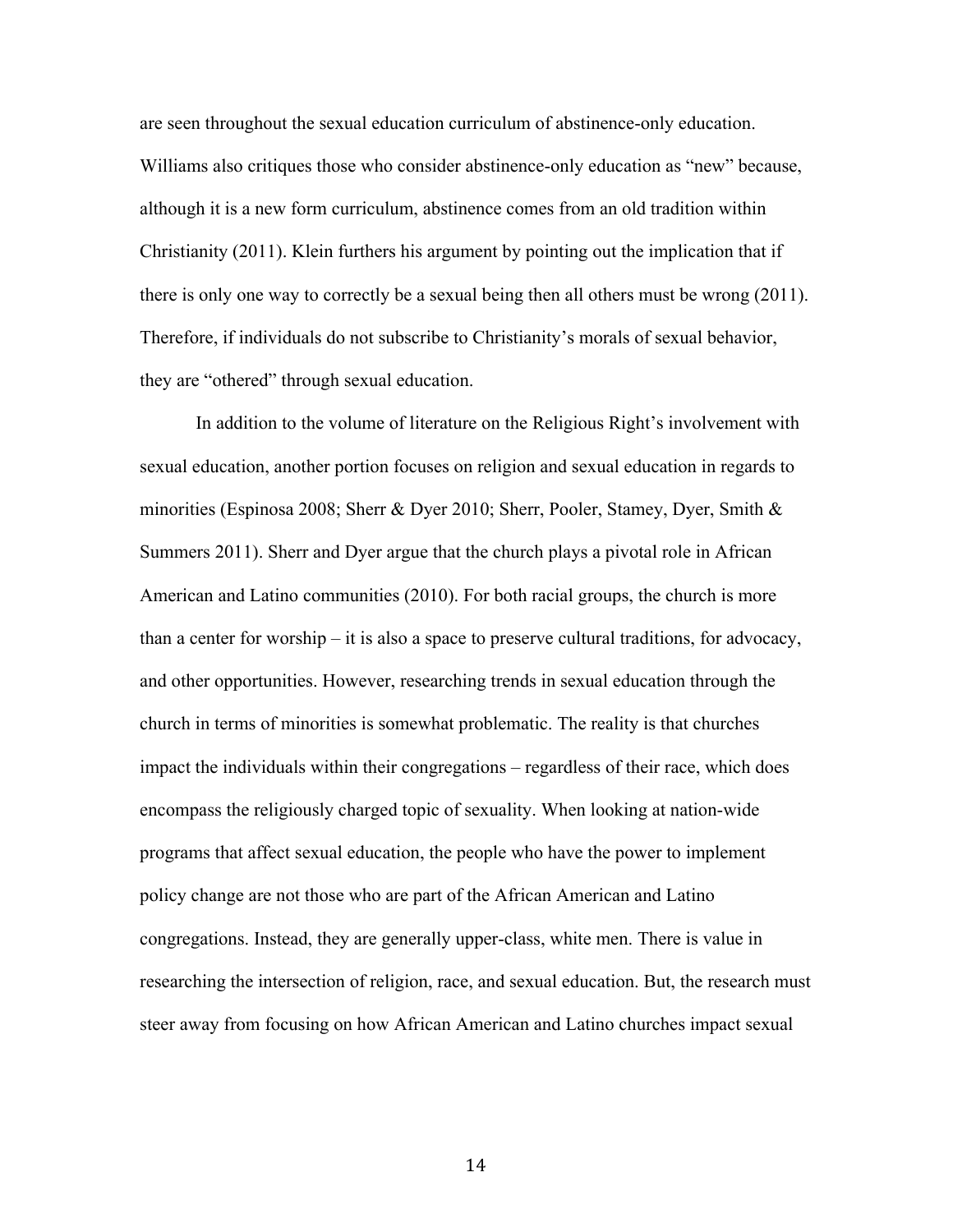are seen throughout the sexual education curriculum of abstinence-only education. Williams also critiques those who consider abstinence-only education as "new" because, although it is a new form curriculum, abstinence comes from an old tradition within Christianity (2011). Klein furthers his argument by pointing out the implication that if there is only one way to correctly be a sexual being then all others must be wrong (2011). Therefore, if individuals do not subscribe to Christianity's morals of sexual behavior, they are "othered" through sexual education.

In addition to the volume of literature on the Religious Right's involvement with sexual education, another portion focuses on religion and sexual education in regards to minorities (Espinosa 2008; Sherr & Dyer 2010; Sherr, Pooler, Stamey, Dyer, Smith & Summers 2011). Sherr and Dyer argue that the church plays a pivotal role in African American and Latino communities (2010). For both racial groups, the church is more than a center for worship – it is also a space to preserve cultural traditions, for advocacy, and other opportunities. However, researching trends in sexual education through the church in terms of minorities is somewhat problematic. The reality is that churches impact the individuals within their congregations – regardless of their race, which does encompass the religiously charged topic of sexuality. When looking at nation-wide programs that affect sexual education, the people who have the power to implement policy change are not those who are part of the African American and Latino congregations. Instead, they are generally upper-class, white men. There is value in researching the intersection of religion, race, and sexual education. But, the research must steer away from focusing on how African American and Latino churches impact sexual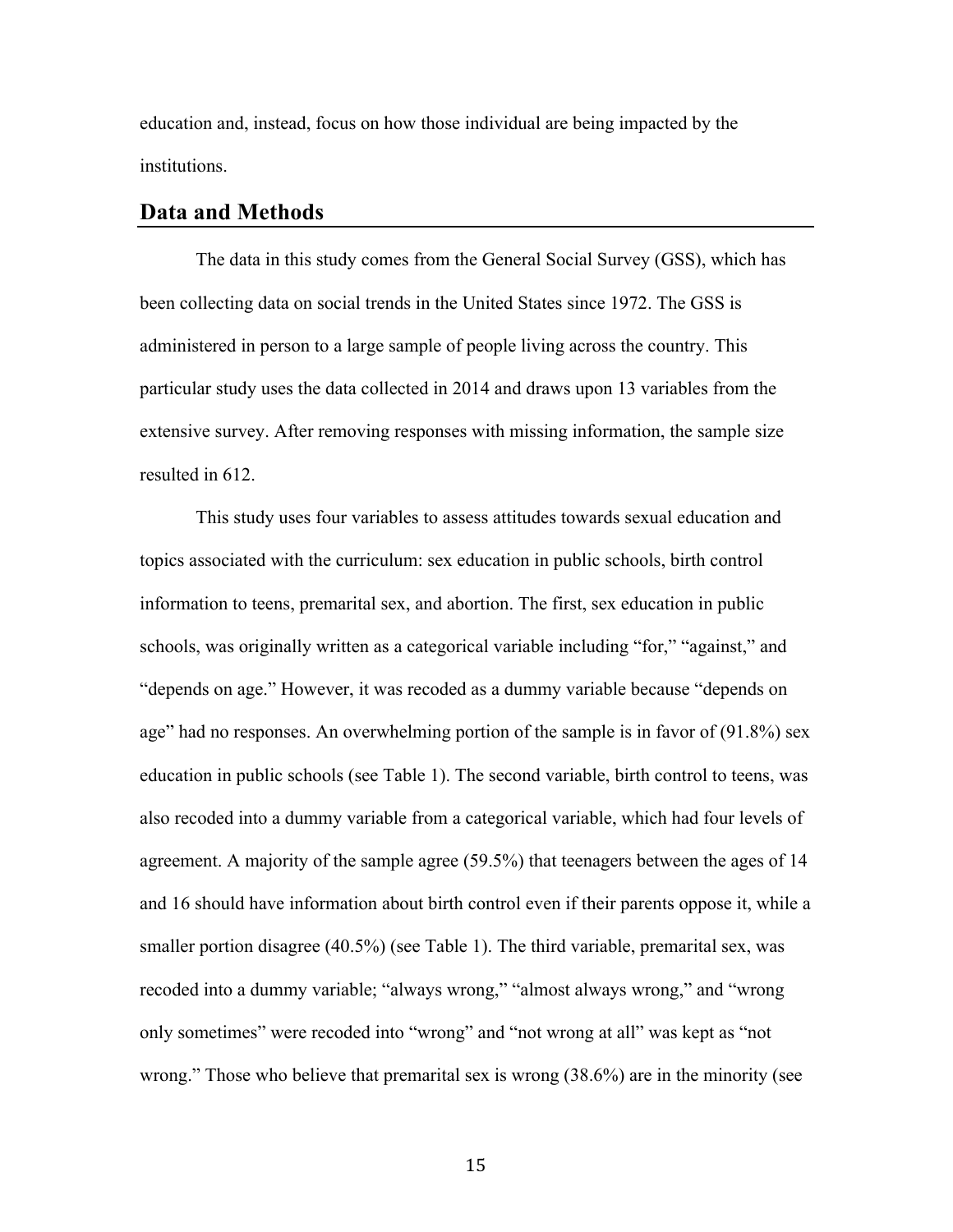education and, instead, focus on how those individual are being impacted by the institutions.

#### **Data and Methods**

The data in this study comes from the General Social Survey (GSS), which has been collecting data on social trends in the United States since 1972. The GSS is administered in person to a large sample of people living across the country. This particular study uses the data collected in 2014 and draws upon 13 variables from the extensive survey. After removing responses with missing information, the sample size resulted in 612.

This study uses four variables to assess attitudes towards sexual education and topics associated with the curriculum: sex education in public schools, birth control information to teens, premarital sex, and abortion. The first, sex education in public schools, was originally written as a categorical variable including "for," "against," and "depends on age." However, it was recoded as a dummy variable because "depends on age" had no responses. An overwhelming portion of the sample is in favor of (91.8%) sex education in public schools (see Table 1). The second variable, birth control to teens, was also recoded into a dummy variable from a categorical variable, which had four levels of agreement. A majority of the sample agree (59.5%) that teenagers between the ages of 14 and 16 should have information about birth control even if their parents oppose it, while a smaller portion disagree (40.5%) (see Table 1). The third variable, premarital sex, was recoded into a dummy variable; "always wrong," "almost always wrong," and "wrong only sometimes" were recoded into "wrong" and "not wrong at all" was kept as "not wrong." Those who believe that premarital sex is wrong (38.6%) are in the minority (see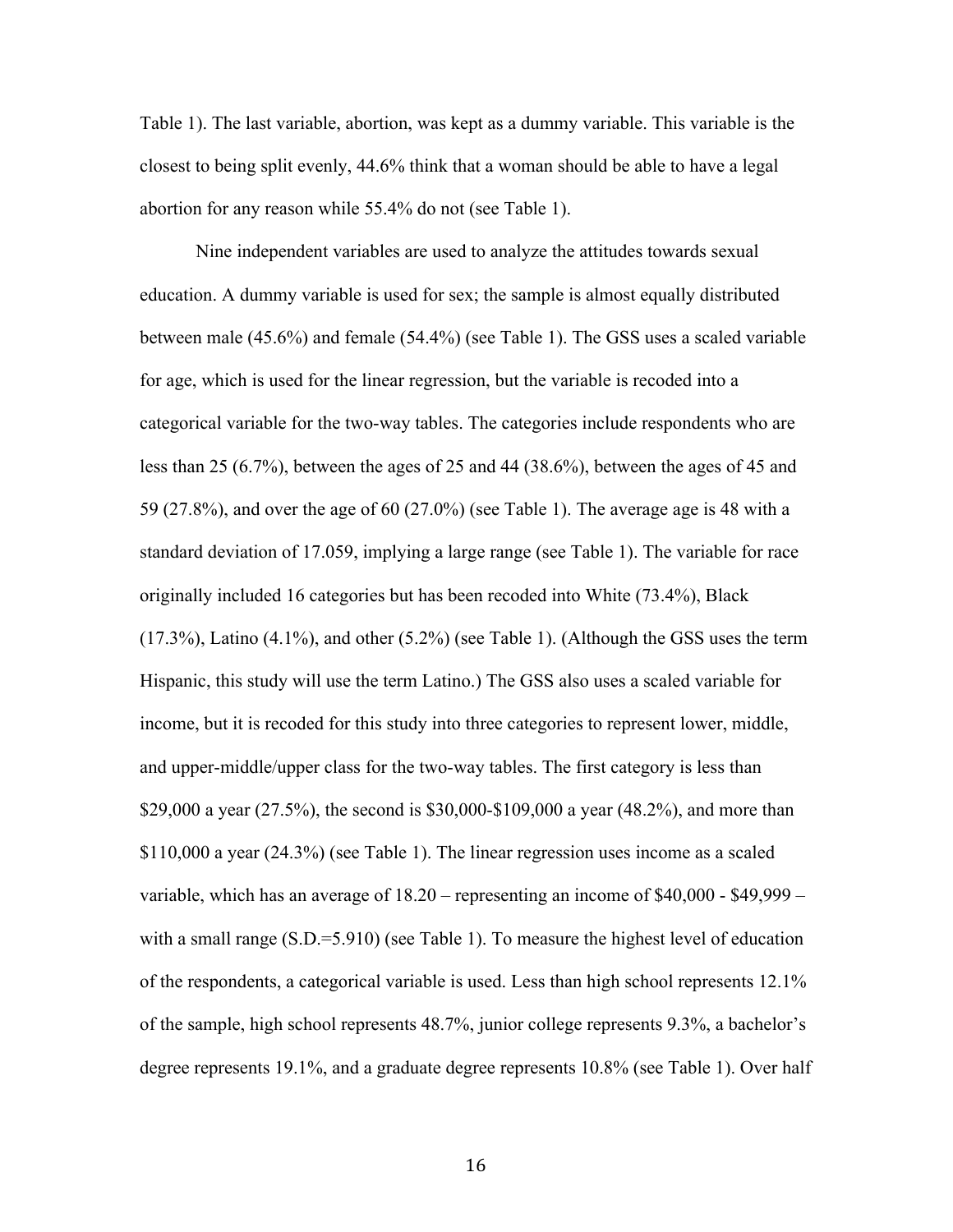Table 1). The last variable, abortion, was kept as a dummy variable. This variable is the closest to being split evenly, 44.6% think that a woman should be able to have a legal abortion for any reason while 55.4% do not (see Table 1).

Nine independent variables are used to analyze the attitudes towards sexual education. A dummy variable is used for sex; the sample is almost equally distributed between male (45.6%) and female (54.4%) (see Table 1). The GSS uses a scaled variable for age, which is used for the linear regression, but the variable is recoded into a categorical variable for the two-way tables. The categories include respondents who are less than 25 (6.7%), between the ages of 25 and 44 (38.6%), between the ages of 45 and 59 (27.8%), and over the age of 60 (27.0%) (see Table 1). The average age is 48 with a standard deviation of 17.059, implying a large range (see Table 1). The variable for race originally included 16 categories but has been recoded into White (73.4%), Black (17.3%), Latino (4.1%), and other (5.2%) (see Table 1). (Although the GSS uses the term Hispanic, this study will use the term Latino.) The GSS also uses a scaled variable for income, but it is recoded for this study into three categories to represent lower, middle, and upper-middle/upper class for the two-way tables. The first category is less than \$29,000 a year (27.5%), the second is \$30,000-\$109,000 a year (48.2%), and more than \$110,000 a year (24.3%) (see Table 1). The linear regression uses income as a scaled variable, which has an average of 18.20 – representing an income of \$40,000 - \$49,999 – with a small range (S.D.=5.910) (see Table 1). To measure the highest level of education of the respondents, a categorical variable is used. Less than high school represents 12.1% of the sample, high school represents 48.7%, junior college represents 9.3%, a bachelor's degree represents 19.1%, and a graduate degree represents 10.8% (see Table 1). Over half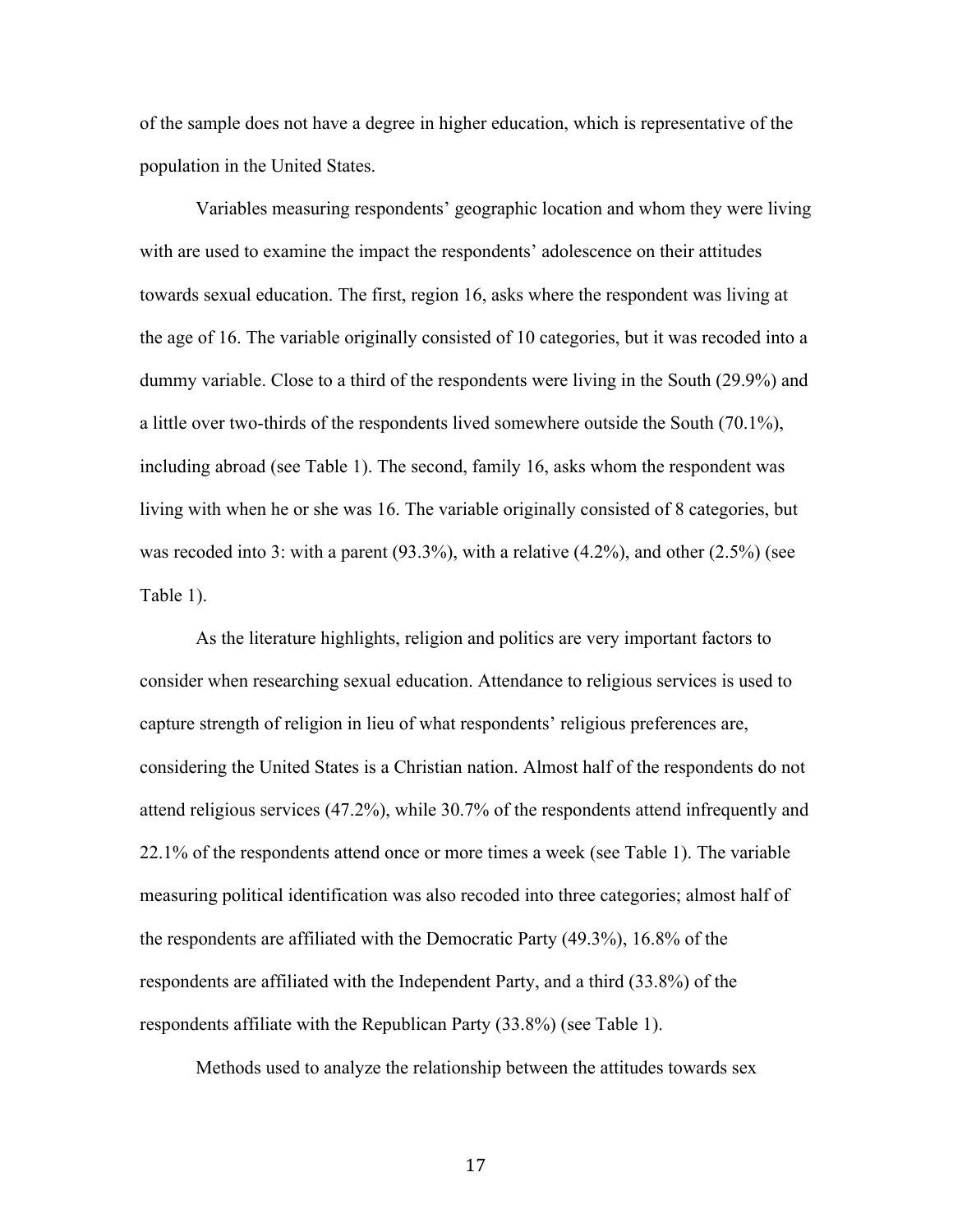of the sample does not have a degree in higher education, which is representative of the population in the United States.

Variables measuring respondents' geographic location and whom they were living with are used to examine the impact the respondents' adolescence on their attitudes towards sexual education. The first, region 16, asks where the respondent was living at the age of 16. The variable originally consisted of 10 categories, but it was recoded into a dummy variable. Close to a third of the respondents were living in the South (29.9%) and a little over two-thirds of the respondents lived somewhere outside the South (70.1%), including abroad (see Table 1). The second, family 16, asks whom the respondent was living with when he or she was 16. The variable originally consisted of 8 categories, but was recoded into 3: with a parent  $(93.3\%)$ , with a relative  $(4.2\%)$ , and other  $(2.5\%)$  (see Table 1).

As the literature highlights, religion and politics are very important factors to consider when researching sexual education. Attendance to religious services is used to capture strength of religion in lieu of what respondents' religious preferences are, considering the United States is a Christian nation. Almost half of the respondents do not attend religious services (47.2%), while 30.7% of the respondents attend infrequently and 22.1% of the respondents attend once or more times a week (see Table 1). The variable measuring political identification was also recoded into three categories; almost half of the respondents are affiliated with the Democratic Party (49.3%), 16.8% of the respondents are affiliated with the Independent Party, and a third (33.8%) of the respondents affiliate with the Republican Party (33.8%) (see Table 1).

Methods used to analyze the relationship between the attitudes towards sex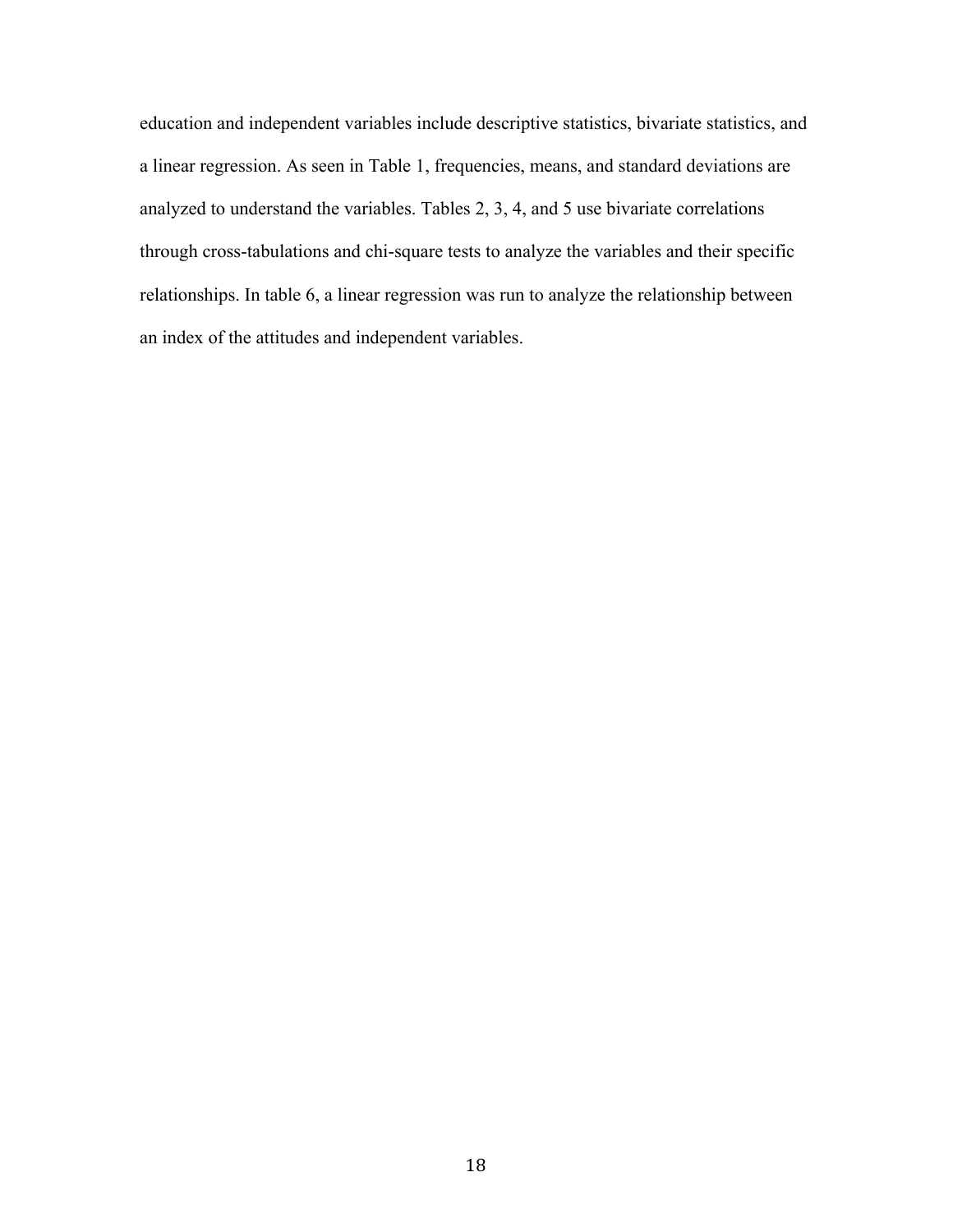education and independent variables include descriptive statistics, bivariate statistics, and a linear regression. As seen in Table 1, frequencies, means, and standard deviations are analyzed to understand the variables. Tables 2, 3, 4, and 5 use bivariate correlations through cross-tabulations and chi-square tests to analyze the variables and their specific relationships. In table 6, a linear regression was run to analyze the relationship between an index of the attitudes and independent variables.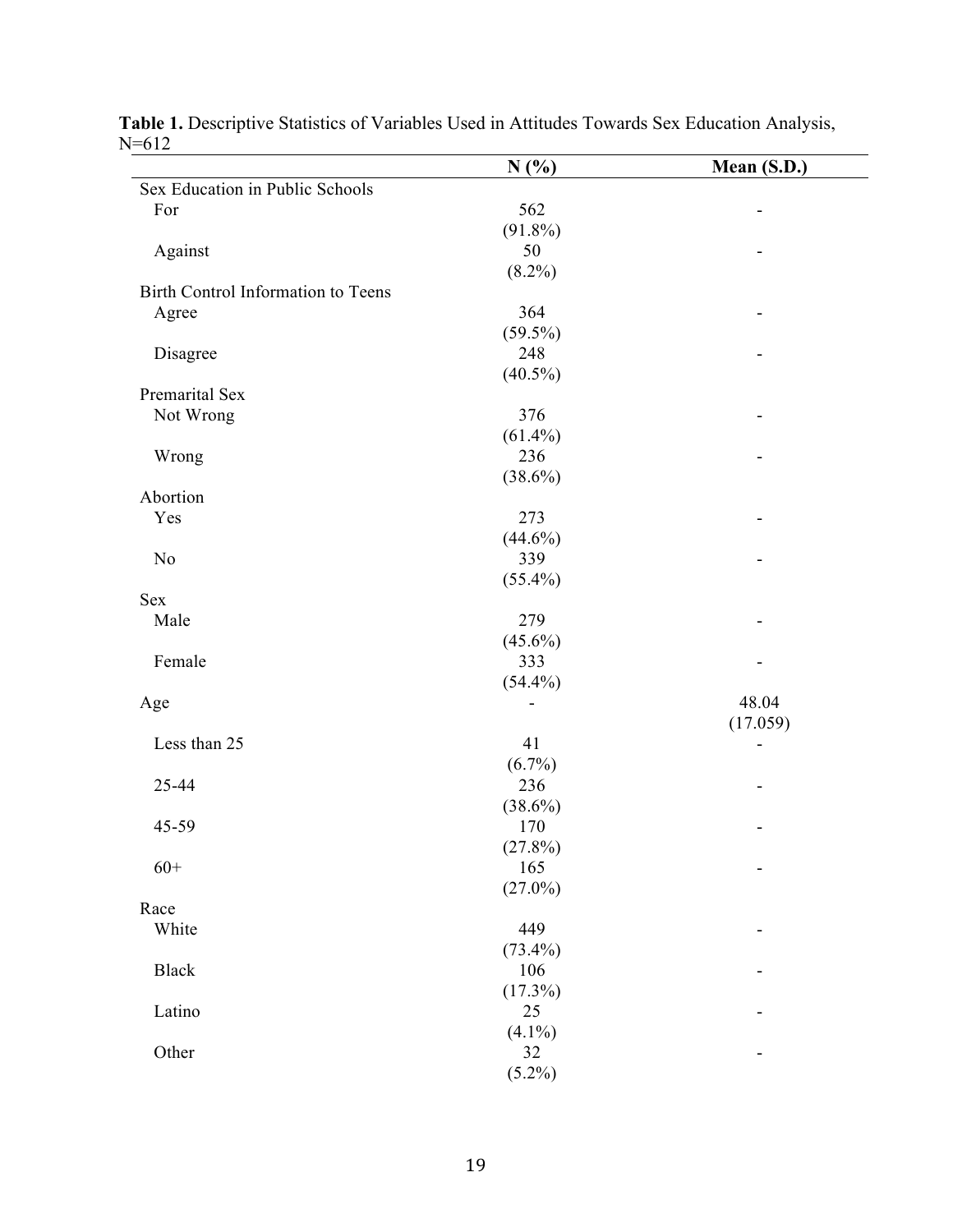| 1–012                              | N(%)       | Mean (S.D.) |
|------------------------------------|------------|-------------|
| Sex Education in Public Schools    |            |             |
| For                                | 562        | -           |
|                                    | $(91.8\%)$ |             |
| Against                            | 50         |             |
|                                    | $(8.2\%)$  |             |
| Birth Control Information to Teens |            |             |
| Agree                              | 364        |             |
|                                    | $(59.5\%)$ |             |
| Disagree                           | 248        |             |
|                                    | $(40.5\%)$ |             |
| Premarital Sex                     |            |             |
| Not Wrong                          | 376        |             |
|                                    | $(61.4\%)$ |             |
| Wrong                              | 236        |             |
|                                    | $(38.6\%)$ |             |
| Abortion                           |            |             |
| Yes                                | 273        |             |
|                                    | $(44.6\%)$ |             |
| N <sub>o</sub>                     | 339        |             |
|                                    | $(55.4\%)$ |             |
| <b>Sex</b>                         |            |             |
| Male                               | 279        |             |
|                                    | $(45.6\%)$ |             |
| Female                             | 333        |             |
|                                    |            |             |
|                                    | $(54.4\%)$ |             |
| Age                                |            | 48.04       |
|                                    |            | (17.059)    |
| Less than 25                       | 41         |             |
|                                    | $(6.7\%)$  |             |
| 25-44                              | 236        |             |
|                                    | $(38.6\%)$ |             |
| 45-59                              | 170        |             |
|                                    | $(27.8\%)$ |             |
| $60+$                              | 165        | -           |
|                                    | $(27.0\%)$ |             |
| Race                               |            |             |
| White                              | 449        |             |
|                                    | $(73.4\%)$ |             |
| Black                              | 106        |             |
|                                    | $(17.3\%)$ |             |
| Latino                             | 25         |             |
|                                    | $(4.1\%)$  |             |
| Other                              | 32         |             |
|                                    | $(5.2\%)$  |             |

| Table 1. Descriptive Statistics of Variables Used in Attitudes Towards Sex Education Analysis, |  |  |  |  |
|------------------------------------------------------------------------------------------------|--|--|--|--|
| $N = 612$                                                                                      |  |  |  |  |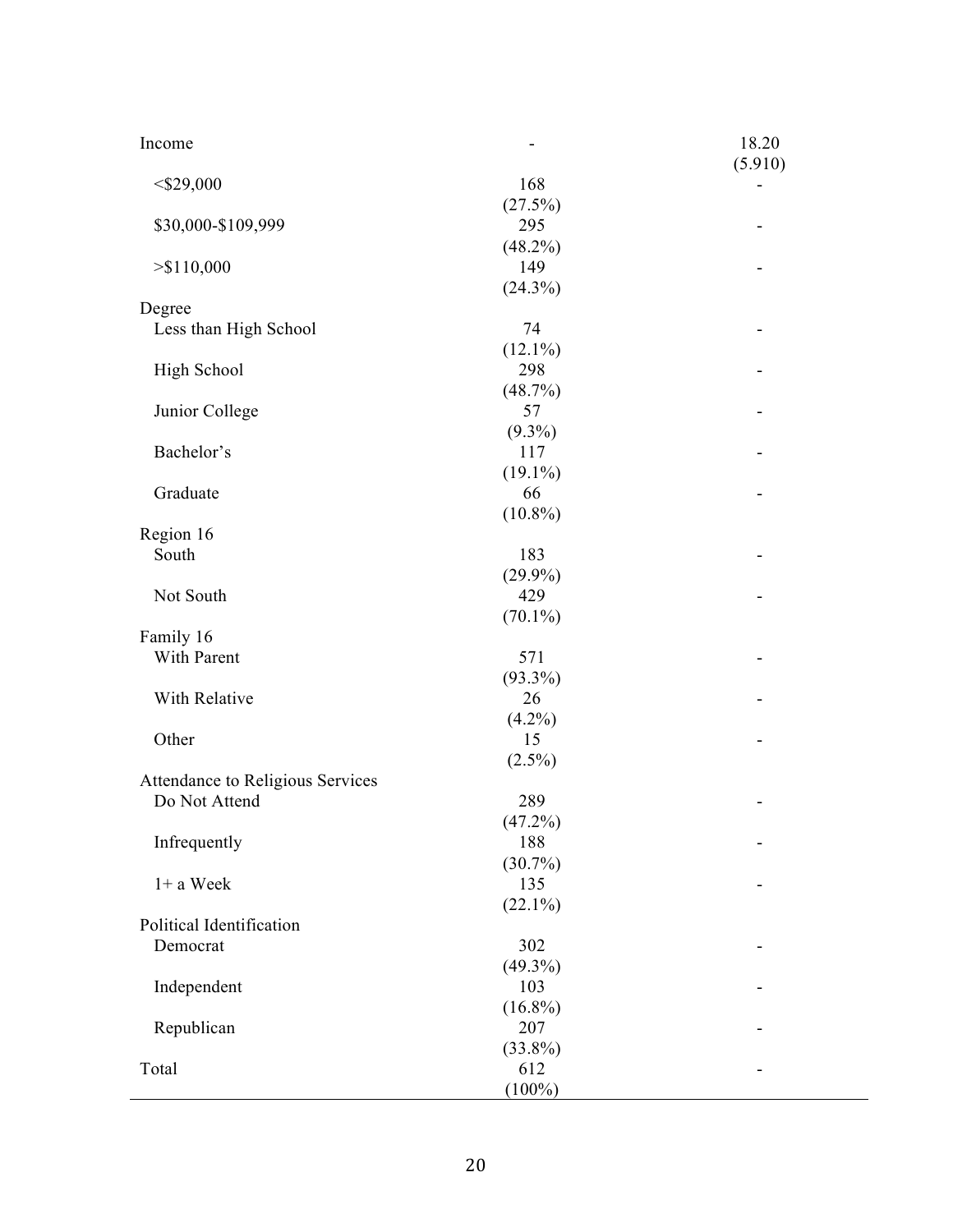| Income                           |                   | 18.20<br>(5.910) |
|----------------------------------|-------------------|------------------|
| $<$ \$29,000                     | 168               |                  |
| \$30,000-\$109,999               | (27.5%)<br>295    |                  |
| > \$110,000                      | $(48.2\%)$<br>149 |                  |
| Degree                           | $(24.3\%)$        |                  |
| Less than High School            | 74                |                  |
|                                  | $(12.1\%)$        |                  |
| High School                      | 298               |                  |
|                                  | (48.7%)           |                  |
| Junior College                   | 57                |                  |
|                                  | $(9.3\%)$         |                  |
| Bachelor's                       | 117               |                  |
|                                  | $(19.1\%)$        |                  |
| Graduate                         | 66                |                  |
|                                  | $(10.8\%)$        |                  |
| Region 16                        |                   |                  |
| South                            | 183               |                  |
|                                  | $(29.9\%)$        |                  |
| Not South                        | 429               |                  |
|                                  | $(70.1\%)$        |                  |
| Family 16                        |                   |                  |
| With Parent                      | 571               |                  |
|                                  | $(93.3\%)$        |                  |
| With Relative                    | 26                |                  |
| Other                            | $(4.2\%)$<br>15   |                  |
|                                  | $(2.5\%)$         |                  |
| Attendance to Religious Services |                   |                  |
| Do Not Attend                    | 289               |                  |
|                                  | (47.2%)           |                  |
| Infrequently                     | 188               |                  |
|                                  | $(30.7\%)$        |                  |
| $1+$ a Week                      | 135               |                  |
|                                  | $(22.1\%)$        |                  |
| Political Identification         |                   |                  |
| Democrat                         | 302               |                  |
|                                  | $(49.3\%)$        |                  |
| Independent                      | 103               |                  |
|                                  | $(16.8\%)$        |                  |
| Republican                       | 207               |                  |
|                                  | $(33.8\%)$        |                  |
| Total                            | 612               |                  |
|                                  | $(100\%)$         |                  |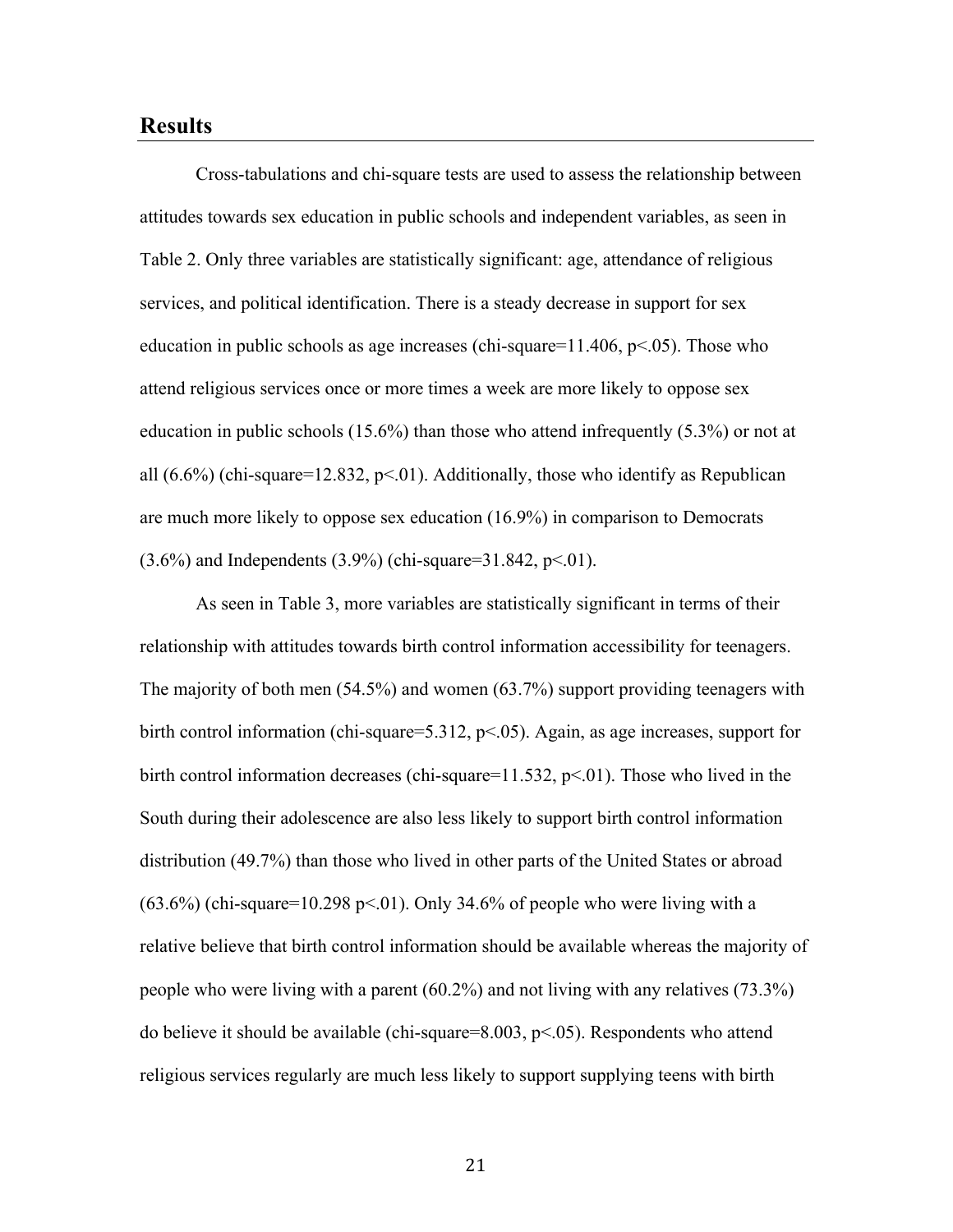## **Results**

Cross-tabulations and chi-square tests are used to assess the relationship between attitudes towards sex education in public schools and independent variables, as seen in Table 2. Only three variables are statistically significant: age, attendance of religious services, and political identification. There is a steady decrease in support for sex education in public schools as age increases (chi-square= $11.406$ , p $\leq 0.05$ ). Those who attend religious services once or more times a week are more likely to oppose sex education in public schools (15.6%) than those who attend infrequently (5.3%) or not at all  $(6.6\%)$  (chi-square=12.832, p<.01). Additionally, those who identify as Republican are much more likely to oppose sex education (16.9%) in comparison to Democrats  $(3.6\%)$  and Independents  $(3.9\%)$  (chi-square=31.842, p<.01).

As seen in Table 3, more variables are statistically significant in terms of their relationship with attitudes towards birth control information accessibility for teenagers. The majority of both men (54.5%) and women (63.7%) support providing teenagers with birth control information (chi-square=5.312,  $p<0.05$ ). Again, as age increases, support for birth control information decreases (chi-square=11.532, p<.01). Those who lived in the South during their adolescence are also less likely to support birth control information distribution (49.7%) than those who lived in other parts of the United States or abroad  $(63.6\%)$  (chi-square=10.298 p<.01). Only 34.6% of people who were living with a relative believe that birth control information should be available whereas the majority of people who were living with a parent (60.2%) and not living with any relatives (73.3%) do believe it should be available (chi-square=8.003, p<.05). Respondents who attend religious services regularly are much less likely to support supplying teens with birth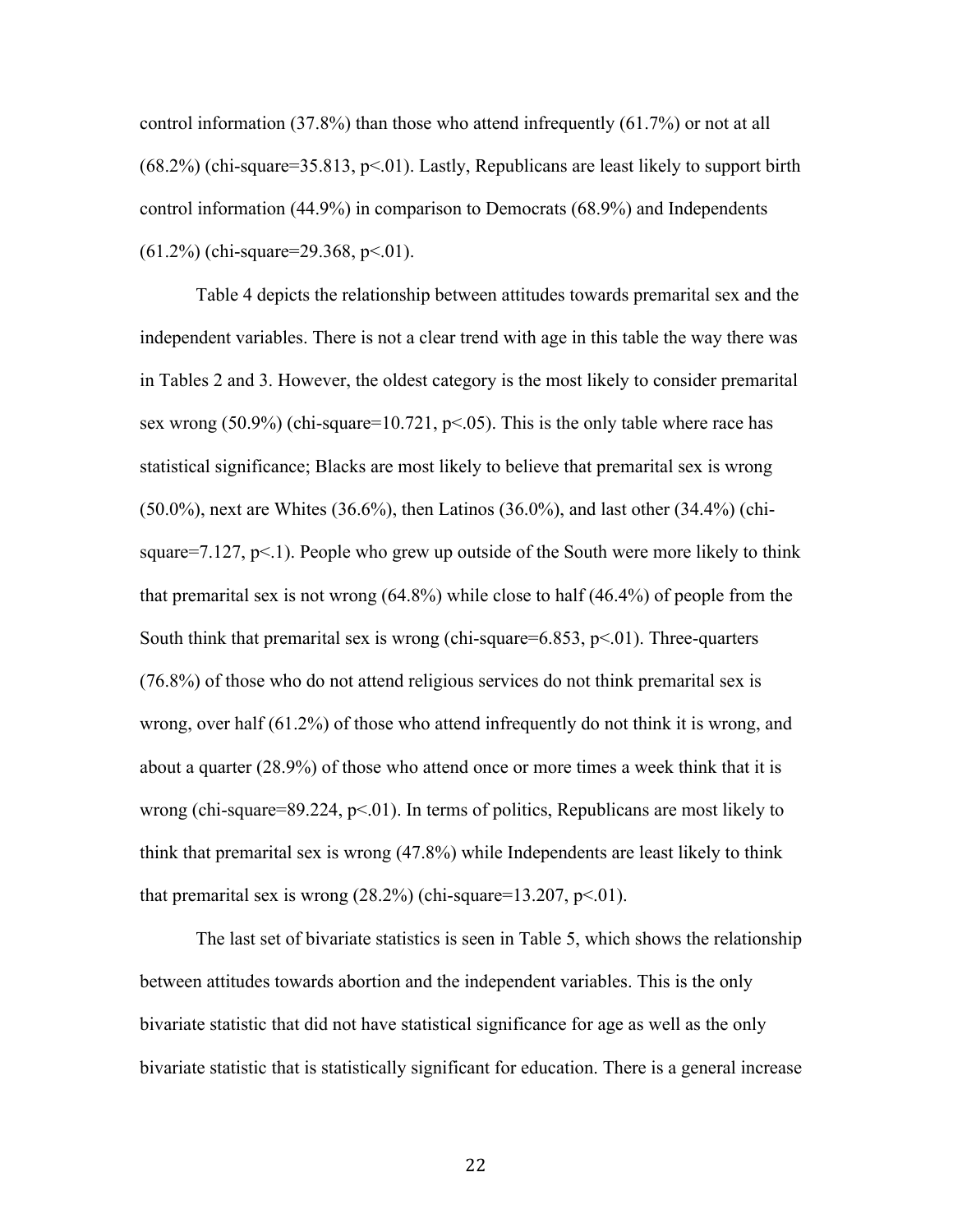control information (37.8%) than those who attend infrequently (61.7%) or not at all  $(68.2%)$  (chi-square=35.813, p<.01). Lastly, Republicans are least likely to support birth control information (44.9%) in comparison to Democrats (68.9%) and Independents  $(61.2\%)$  (chi-square=29.368, p<.01).

Table 4 depicts the relationship between attitudes towards premarital sex and the independent variables. There is not a clear trend with age in this table the way there was in Tables 2 and 3. However, the oldest category is the most likely to consider premarital sex wrong  $(50.9\%)$  (chi-square=10.721, p<.05). This is the only table where race has statistical significance; Blacks are most likely to believe that premarital sex is wrong (50.0%), next are Whites (36.6%), then Latinos (36.0%), and last other (34.4%) (chisquare=7.127,  $p<1$ ). People who grew up outside of the South were more likely to think that premarital sex is not wrong (64.8%) while close to half (46.4%) of people from the South think that premarital sex is wrong (chi-square=6.853,  $p<01$ ). Three-quarters (76.8%) of those who do not attend religious services do not think premarital sex is wrong, over half (61.2%) of those who attend infrequently do not think it is wrong, and about a quarter (28.9%) of those who attend once or more times a week think that it is wrong (chi-square=89.224,  $p<01$ ). In terms of politics, Republicans are most likely to think that premarital sex is wrong (47.8%) while Independents are least likely to think that premarital sex is wrong  $(28.2%)$  (chi-square=13.207, p<.01).

The last set of bivariate statistics is seen in Table 5, which shows the relationship between attitudes towards abortion and the independent variables. This is the only bivariate statistic that did not have statistical significance for age as well as the only bivariate statistic that is statistically significant for education. There is a general increase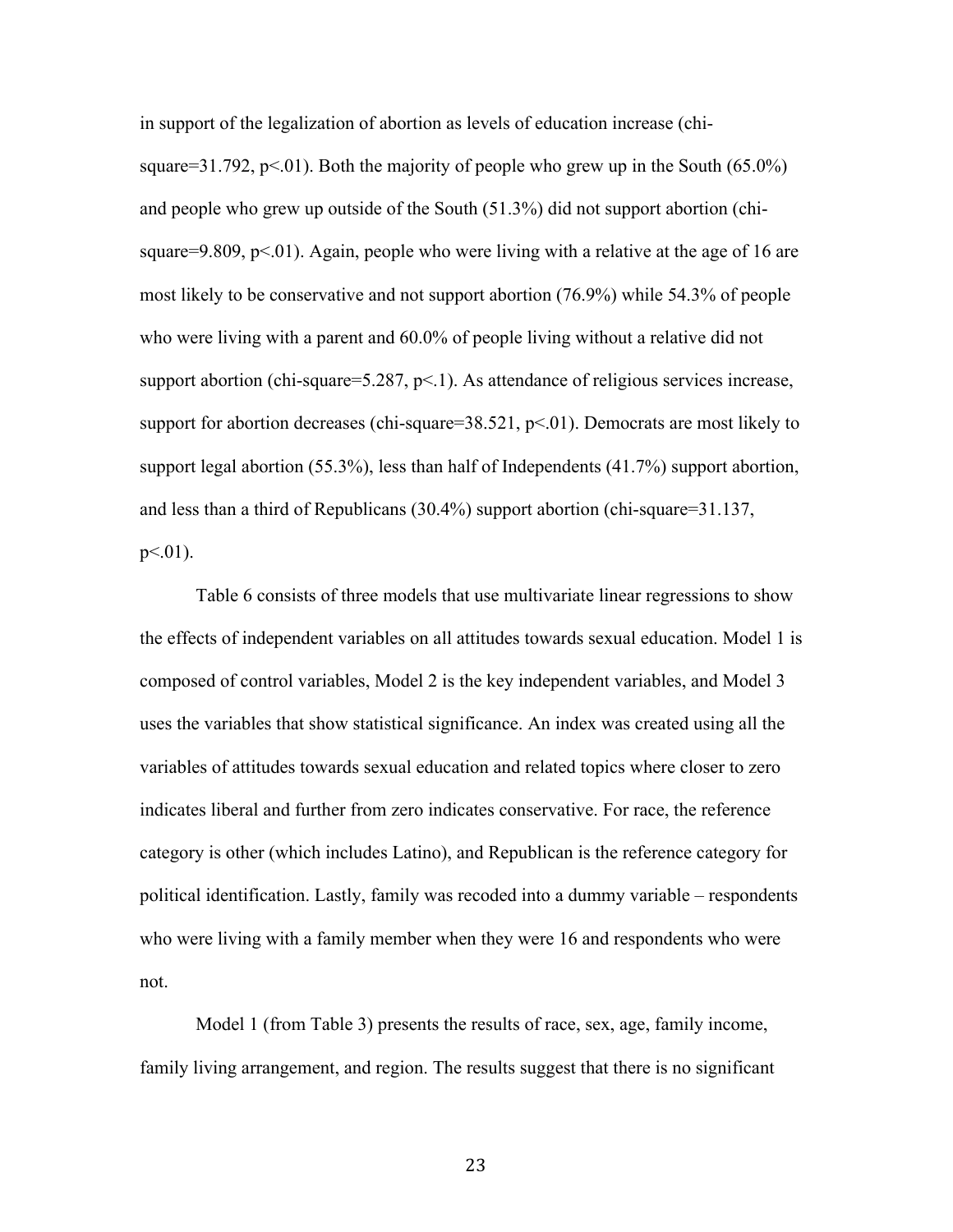in support of the legalization of abortion as levels of education increase (chisquare=31.792, p<.01). Both the majority of people who grew up in the South  $(65.0\%)$ and people who grew up outside of the South (51.3%) did not support abortion (chisquare=9.809,  $p<01$ ). Again, people who were living with a relative at the age of 16 are most likely to be conservative and not support abortion (76.9%) while 54.3% of people who were living with a parent and 60.0% of people living without a relative did not support abortion (chi-square=5.287,  $p<1$ ). As attendance of religious services increase, support for abortion decreases (chi-square=38.521,  $p<01$ ). Democrats are most likely to support legal abortion (55.3%), less than half of Independents (41.7%) support abortion, and less than a third of Republicans (30.4%) support abortion (chi-square=31.137,  $p<.01$ ).

Table 6 consists of three models that use multivariate linear regressions to show the effects of independent variables on all attitudes towards sexual education. Model 1 is composed of control variables, Model 2 is the key independent variables, and Model 3 uses the variables that show statistical significance. An index was created using all the variables of attitudes towards sexual education and related topics where closer to zero indicates liberal and further from zero indicates conservative. For race, the reference category is other (which includes Latino), and Republican is the reference category for political identification. Lastly, family was recoded into a dummy variable – respondents who were living with a family member when they were 16 and respondents who were not.

Model 1 (from Table 3) presents the results of race, sex, age, family income, family living arrangement, and region. The results suggest that there is no significant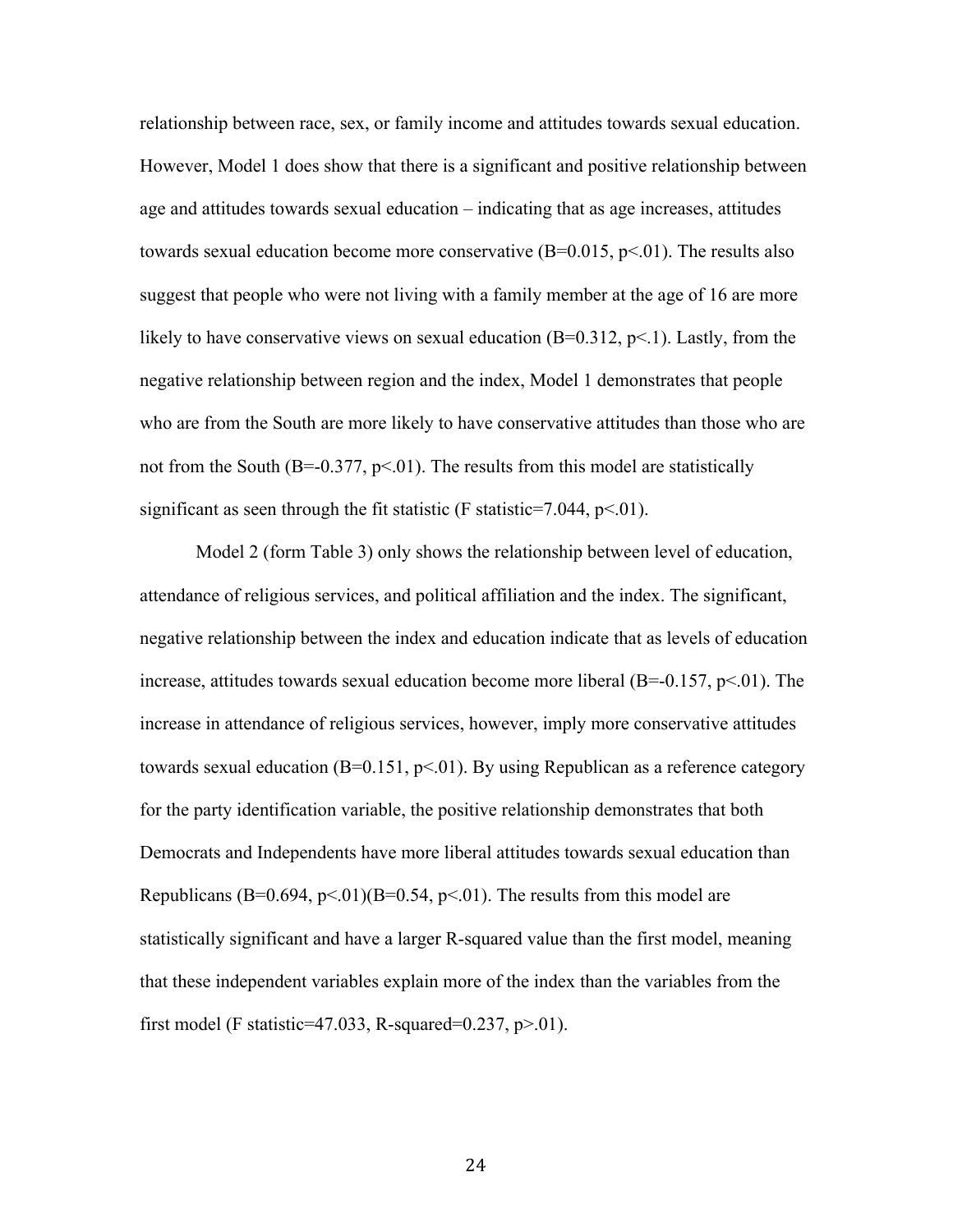relationship between race, sex, or family income and attitudes towards sexual education. However, Model 1 does show that there is a significant and positive relationship between age and attitudes towards sexual education – indicating that as age increases, attitudes towards sexual education become more conservative  $(B=0.015, p<0.01)$ . The results also suggest that people who were not living with a family member at the age of 16 are more likely to have conservative views on sexual education  $(B=0.312, p<1)$ . Lastly, from the negative relationship between region and the index, Model 1 demonstrates that people who are from the South are more likely to have conservative attitudes than those who are not from the South (B=-0.377,  $p<01$ ). The results from this model are statistically significant as seen through the fit statistic (F statistic=7.044,  $p<01$ ).

Model 2 (form Table 3) only shows the relationship between level of education, attendance of religious services, and political affiliation and the index. The significant, negative relationship between the index and education indicate that as levels of education increase, attitudes towards sexual education become more liberal  $(B=-0.157, p<0.01)$ . The increase in attendance of religious services, however, imply more conservative attitudes towards sexual education  $(B=0.151, p<0.01)$ . By using Republican as a reference category for the party identification variable, the positive relationship demonstrates that both Democrats and Independents have more liberal attitudes towards sexual education than Republicans (B=0.694, p<.01)(B=0.54, p<.01). The results from this model are statistically significant and have a larger R-squared value than the first model, meaning that these independent variables explain more of the index than the variables from the first model (F statistic=47.033, R-squared=0.237,  $p>01$ ).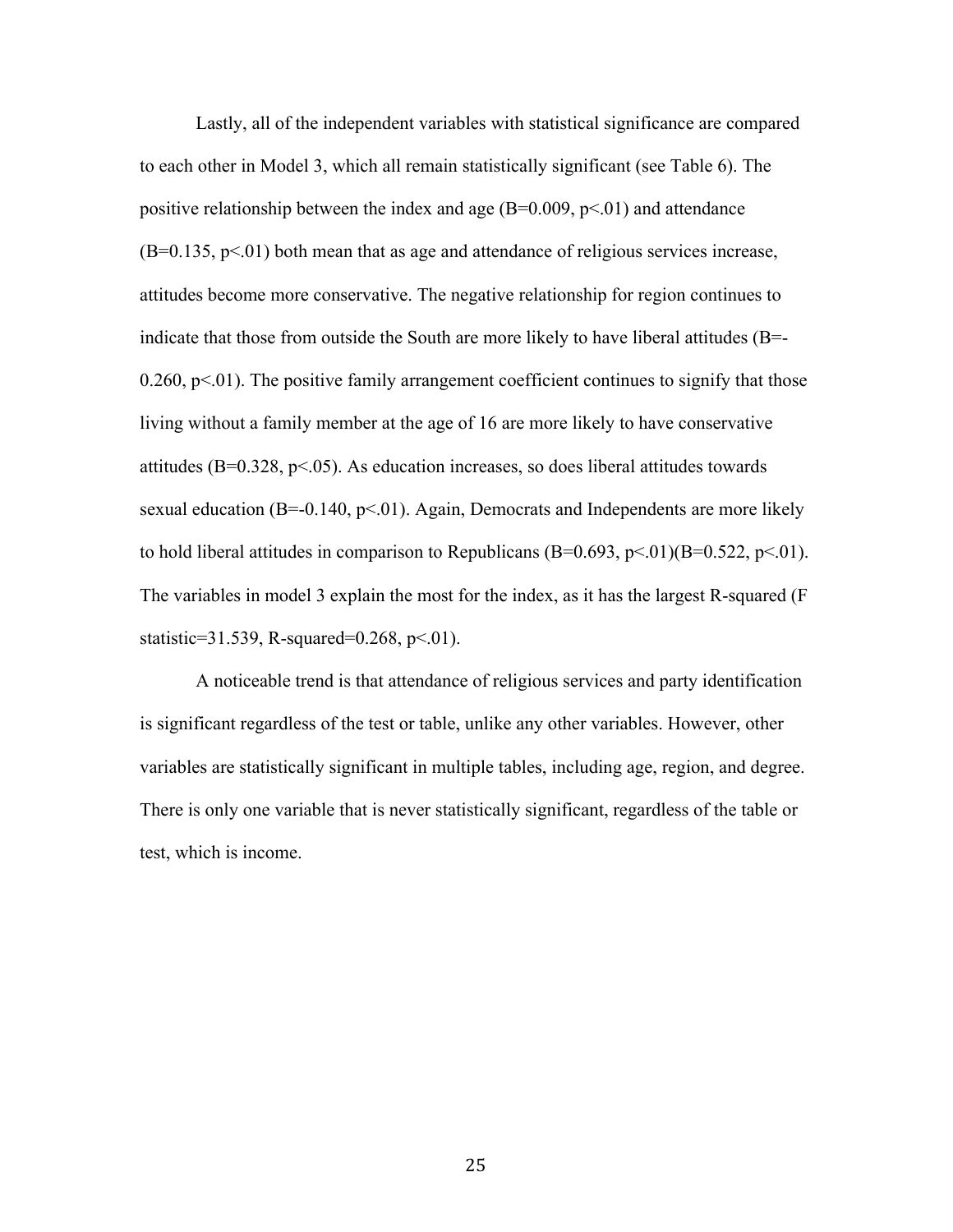Lastly, all of the independent variables with statistical significance are compared to each other in Model 3, which all remain statistically significant (see Table 6). The positive relationship between the index and age  $(B=0.009, p<0.01)$  and attendance  $(B=0.135, p<0.01)$  both mean that as age and attendance of religious services increase, attitudes become more conservative. The negative relationship for region continues to indicate that those from outside the South are more likely to have liberal attitudes  $(B = -1)$  $0.260$ ,  $p<01$ ). The positive family arrangement coefficient continues to signify that those living without a family member at the age of 16 are more likely to have conservative attitudes ( $B=0.328$ ,  $p<05$ ). As education increases, so does liberal attitudes towards sexual education ( $B=-0.140$ ,  $p<01$ ). Again, Democrats and Independents are more likely to hold liberal attitudes in comparison to Republicans  $(B=0.693, p<.01)$  $(B=0.522, p<.01)$ . The variables in model 3 explain the most for the index, as it has the largest R-squared (F statistic=31.539, R-squared=0.268,  $p<01$ ).

A noticeable trend is that attendance of religious services and party identification is significant regardless of the test or table, unlike any other variables. However, other variables are statistically significant in multiple tables, including age, region, and degree. There is only one variable that is never statistically significant, regardless of the table or test, which is income.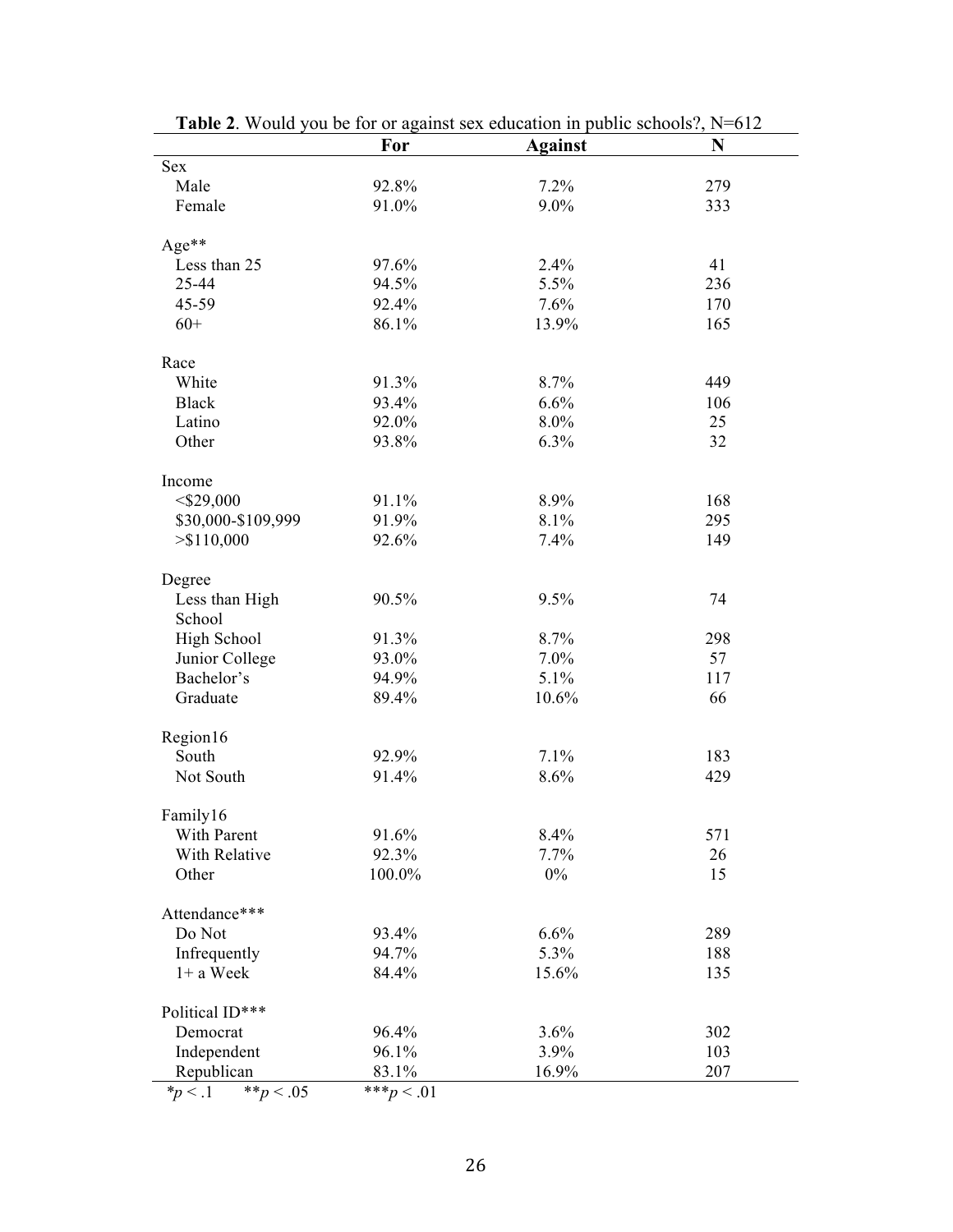|                             | For           | <b>Against</b> | N   |
|-----------------------------|---------------|----------------|-----|
| Sex                         |               |                |     |
| Male                        | 92.8%         | 7.2%           | 279 |
| Female                      | 91.0%         | 9.0%           | 333 |
| Age**                       |               |                |     |
| Less than 25                | 97.6%         | 2.4%           | 41  |
| 25-44                       | 94.5%         | 5.5%           | 236 |
| 45-59                       | 92.4%         | 7.6%           | 170 |
| $60+$                       | 86.1%         | 13.9%          | 165 |
| Race                        |               |                |     |
| White                       | 91.3%         | 8.7%           | 449 |
| <b>Black</b>                | 93.4%         | 6.6%           | 106 |
| Latino                      | 92.0%         | 8.0%           | 25  |
| Other                       | 93.8%         | 6.3%           | 32  |
| Income                      |               |                |     |
| $<$ \$29,000                | 91.1%         | 8.9%           | 168 |
| \$30,000-\$109,999          | 91.9%         | 8.1%           | 295 |
| > \$110,000                 | 92.6%         | 7.4%           | 149 |
| Degree                      |               |                |     |
| Less than High              | 90.5%         | 9.5%           | 74  |
| School                      |               |                |     |
| High School                 | 91.3%         | 8.7%           | 298 |
| Junior College              | 93.0%         | 7.0%           | 57  |
| Bachelor's                  | 94.9%         | 5.1%           | 117 |
| Graduate                    | 89.4%         | 10.6%          | 66  |
| Region16                    |               |                |     |
| South                       | 92.9%         | 7.1%           | 183 |
| Not South                   | 91.4%         | 8.6%           | 429 |
| Family16                    |               |                |     |
| With Parent                 | 91.6%         | 8.4%           | 571 |
| With Relative               | 92.3%         | 7.7%           | 26  |
| Other                       | 100.0%        | $0\%$          | 15  |
| Attendance***               |               |                |     |
| Do Not                      | 93.4%         | 6.6%           | 289 |
| Infrequently                | 94.7%         | 5.3%           | 188 |
| $1+$ a Week                 | 84.4%         | 15.6%          | 135 |
| Political ID***             |               |                |     |
| Democrat                    | 96.4%         | 3.6%           | 302 |
| Independent                 | 96.1%         | 3.9%           | 103 |
| Republican                  | 83.1%         | 16.9%          | 207 |
| $_{p < .1}$<br>** $p < .05$ | *** $p < .01$ |                |     |

|  |  |  | <b>Table 2.</b> Would you be for or against sex education in public schools?, N=612 |
|--|--|--|-------------------------------------------------------------------------------------|
|  |  |  |                                                                                     |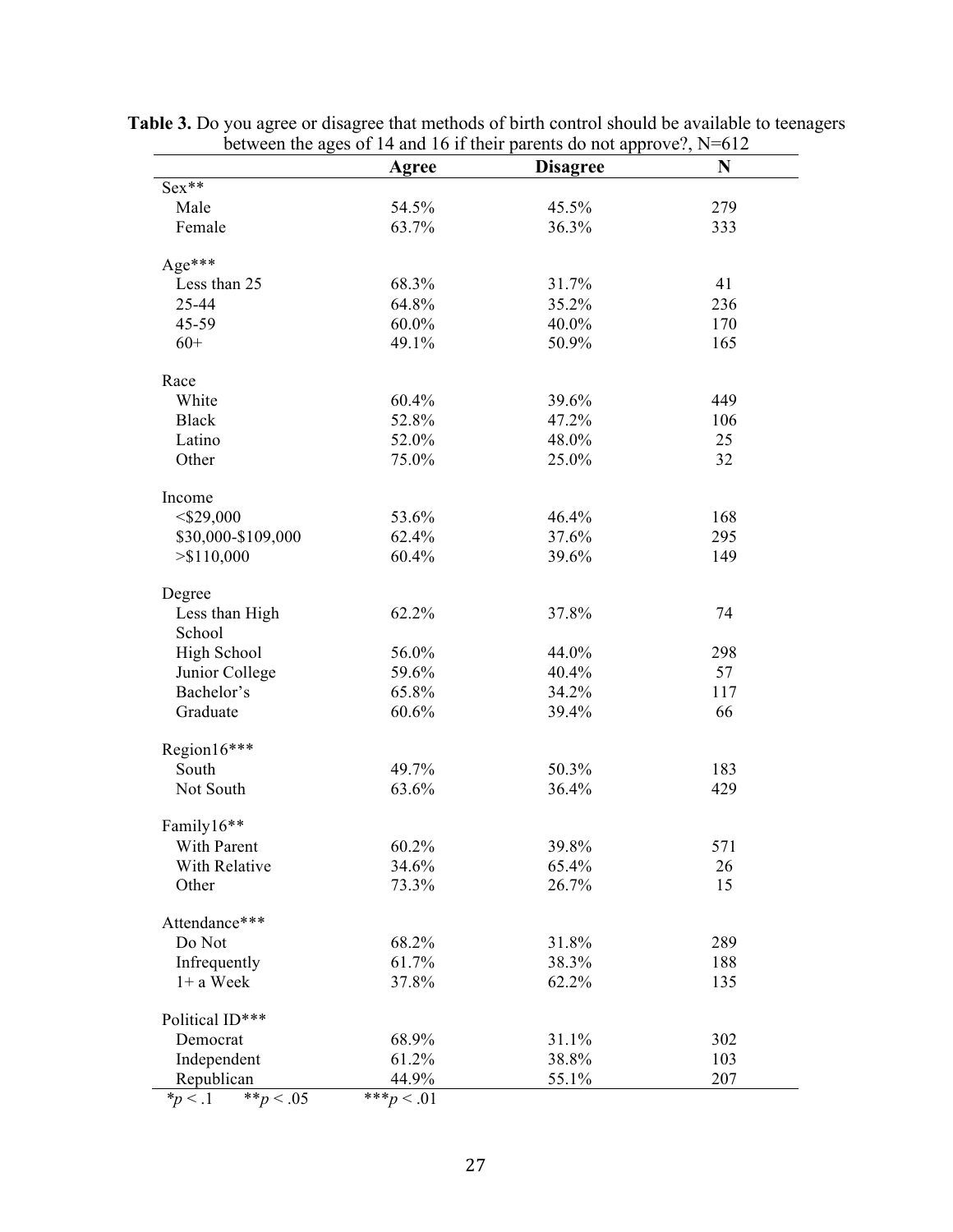|                              | Agree         | <b>Disagree</b> | N   |
|------------------------------|---------------|-----------------|-----|
| $Sex**$                      |               |                 |     |
| Male                         | 54.5%         | 45.5%           | 279 |
| Female                       | 63.7%         | 36.3%           | 333 |
| Age***                       |               |                 |     |
| Less than 25                 | 68.3%         | 31.7%           | 41  |
| 25-44                        | 64.8%         | 35.2%           | 236 |
| 45-59                        | 60.0%         | 40.0%           | 170 |
| $60+$                        | 49.1%         | 50.9%           | 165 |
| Race                         |               |                 |     |
| White                        | 60.4%         | 39.6%           | 449 |
| <b>Black</b>                 | 52.8%         | 47.2%           | 106 |
| Latino                       | 52.0%         | 48.0%           | 25  |
| Other                        | 75.0%         | 25.0%           | 32  |
| Income                       |               |                 |     |
| $<$ \$29,000                 | 53.6%         | 46.4%           | 168 |
| \$30,000-\$109,000           | 62.4%         | 37.6%           | 295 |
| > \$110,000                  | 60.4%         | 39.6%           | 149 |
| Degree                       |               |                 |     |
| Less than High               | 62.2%         | 37.8%           | 74  |
| School                       |               |                 |     |
| High School                  | 56.0%         | 44.0%           | 298 |
| Junior College               | 59.6%         | 40.4%           | 57  |
| Bachelor's                   | 65.8%         | 34.2%           | 117 |
| Graduate                     | 60.6%         | 39.4%           | 66  |
| Region16***                  |               |                 |     |
| South                        | 49.7%         | 50.3%           | 183 |
| Not South                    | 63.6%         | 36.4%           | 429 |
| Family16**                   |               |                 |     |
| With Parent                  | 60.2%         | 39.8%           | 571 |
| With Relative                | 34.6%         | 65.4%           | 26  |
| Other                        | 73.3%         | 26.7%           | 15  |
| Attendance***                |               |                 |     |
| Do Not                       | 68.2%         | 31.8%           | 289 |
| Infrequently                 | 61.7%         | 38.3%           | 188 |
| $1+$ a Week                  | 37.8%         | 62.2%           | 135 |
| Political ID***              |               |                 |     |
| Democrat                     | 68.9%         | 31.1%           | 302 |
| Independent                  | 61.2%         | 38.8%           | 103 |
| Republican                   | 44.9%         | 55.1%           | 207 |
| ** $p < .05$<br>$*_{p}$ < .1 | *** $p < .01$ |                 |     |

**Table 3.** Do you agree or disagree that methods of birth control should be available to teenagers between the ages of 14 and 16 if their parents do not approve?, N=612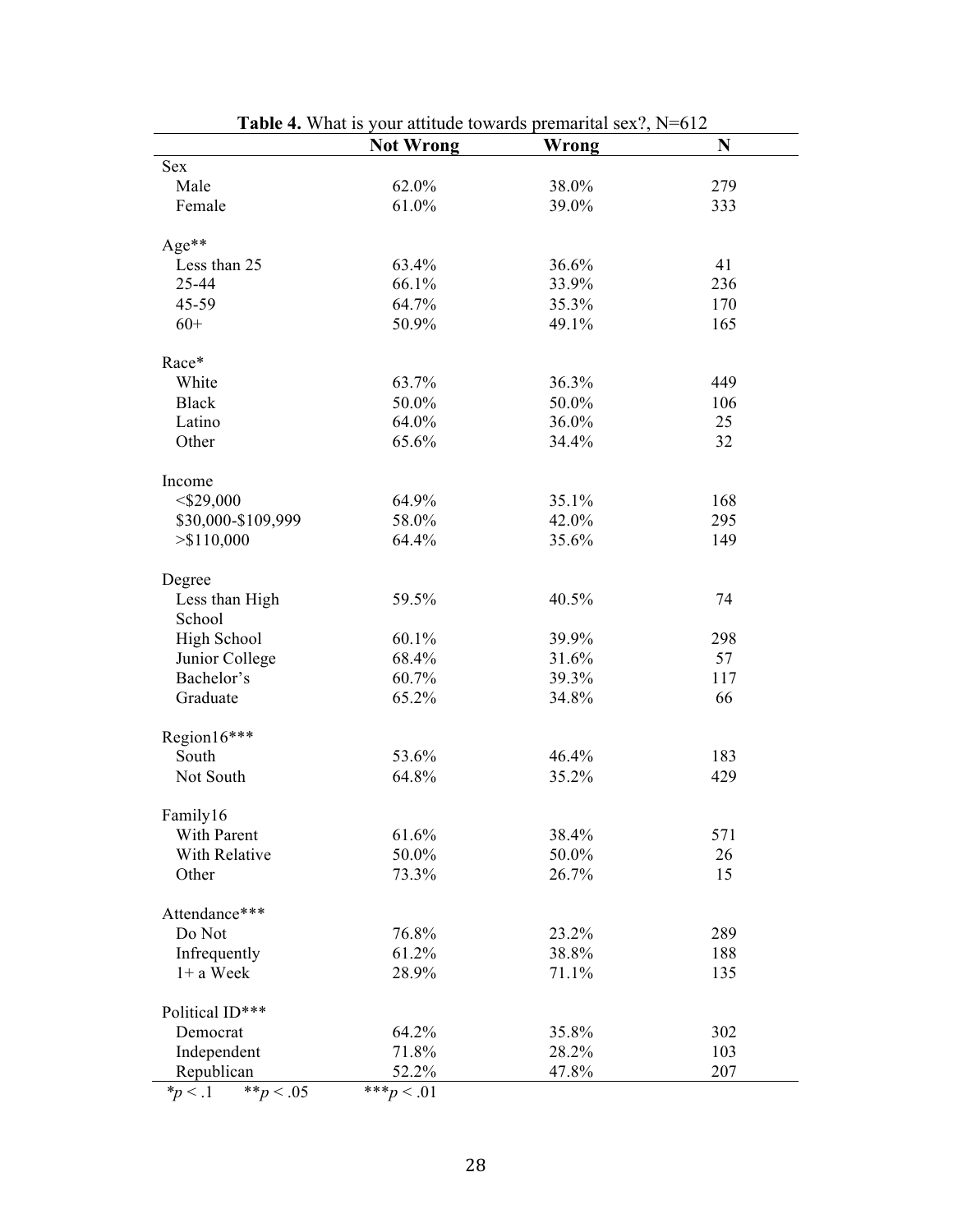|                            | <b>Not Wrong</b> | Wrong | N   |
|----------------------------|------------------|-------|-----|
| Sex                        |                  |       |     |
| Male                       | 62.0%            | 38.0% | 279 |
| Female                     | 61.0%            | 39.0% | 333 |
|                            |                  |       |     |
| Age**                      |                  |       |     |
| Less than 25               | 63.4%            | 36.6% | 41  |
| 25-44                      | 66.1%            | 33.9% | 236 |
| 45-59                      | 64.7%            | 35.3% | 170 |
| $60+$                      | 50.9%            | 49.1% | 165 |
| Race*                      |                  |       |     |
| White                      | 63.7%            | 36.3% | 449 |
| <b>Black</b>               | 50.0%            | 50.0% | 106 |
| Latino                     | 64.0%            | 36.0% | 25  |
| Other                      | 65.6%            | 34.4% | 32  |
|                            |                  |       |     |
| Income                     |                  |       |     |
| $<$ \$29,000               | 64.9%            | 35.1% | 168 |
| \$30,000-\$109,999         | 58.0%            | 42.0% | 295 |
| > \$110,000                | 64.4%            | 35.6% | 149 |
|                            |                  |       |     |
| Degree                     |                  |       |     |
| Less than High             | 59.5%            | 40.5% | 74  |
| School                     |                  |       |     |
| <b>High School</b>         | 60.1%            | 39.9% | 298 |
| Junior College             | 68.4%            | 31.6% | 57  |
| Bachelor's                 | 60.7%            | 39.3% | 117 |
| Graduate                   | 65.2%            | 34.8% | 66  |
| Region16***                |                  |       |     |
| South                      | 53.6%            | 46.4% | 183 |
| Not South                  | 64.8%            | 35.2% | 429 |
|                            |                  |       |     |
| Family16                   |                  |       |     |
| With Parent                | 61.6%            | 38.4% | 571 |
| With Relative              | 50.0%            | 50.0% | 26  |
| Other                      | 73.3%            | 26.7% | 15  |
| Attendance***              |                  |       |     |
| Do Not                     | 76.8%            | 23.2% | 289 |
| Infrequently               | 61.2%            | 38.8% | 188 |
| $1+$ a Week                | 28.9%            | 71.1% | 135 |
|                            |                  |       |     |
| Political ID***            |                  |       |     |
| Democrat                   | 64.2%            | 35.8% | 302 |
| Independent                | 71.8%            | 28.2% | 103 |
| Republican                 | 52.2%            | 47.8% | 207 |
| ** $p < .05$<br>$*_p$ < .1 | *** $p < .01$    |       |     |

**Table 4.** What is your attitude towards premarital sex?, N=612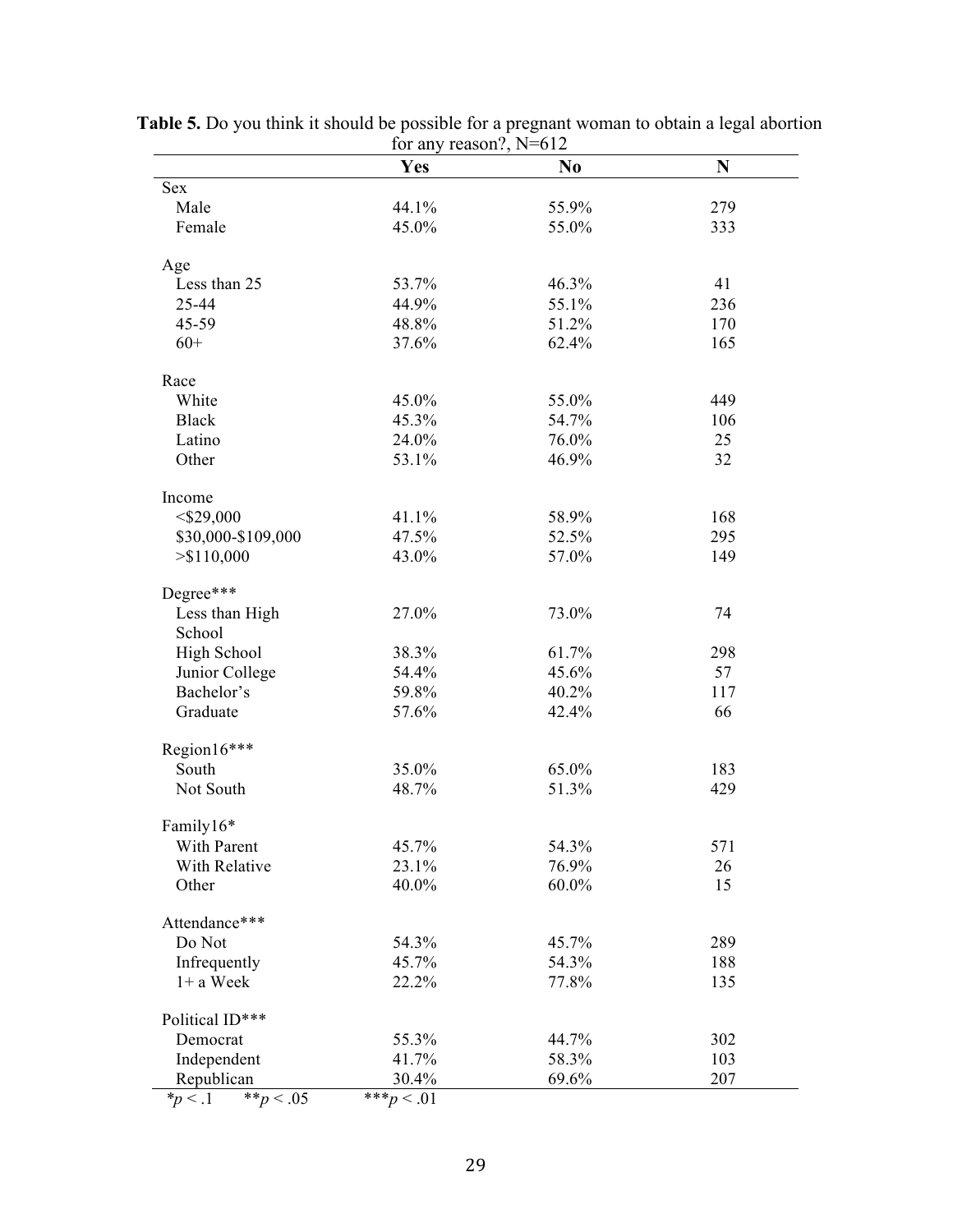|                           | 101 any reason:, $19-012$ |                |     |
|---------------------------|---------------------------|----------------|-----|
|                           | <b>Yes</b>                | N <sub>0</sub> | N   |
| <b>Sex</b>                |                           |                |     |
| Male                      | 44.1%                     | 55.9%          | 279 |
| Female                    | 45.0%                     | 55.0%          | 333 |
| Age                       |                           |                |     |
| Less than 25              | 53.7%                     | 46.3%          | 41  |
| 25-44                     | 44.9%                     | 55.1%          | 236 |
| 45-59                     | 48.8%                     | 51.2%          | 170 |
| $60+$                     | 37.6%                     | 62.4%          | 165 |
| Race                      |                           |                |     |
| White                     | 45.0%                     | 55.0%          | 449 |
| <b>Black</b>              | 45.3%                     | 54.7%          | 106 |
| Latino                    | 24.0%                     | 76.0%          | 25  |
| Other                     | 53.1%                     | 46.9%          | 32  |
| Income                    |                           |                |     |
| $<$ \$29,000              | 41.1%                     | 58.9%          | 168 |
| \$30,000-\$109,000        | 47.5%                     | 52.5%          | 295 |
| > \$110,000               | 43.0%                     | 57.0%          | 149 |
| Degree***                 |                           |                |     |
| Less than High            | 27.0%                     | 73.0%          | 74  |
| School                    |                           |                |     |
| High School               | 38.3%                     | 61.7%          | 298 |
| Junior College            | 54.4%                     | 45.6%          | 57  |
| Bachelor's                | 59.8%                     | 40.2%          | 117 |
| Graduate                  | 57.6%                     | 42.4%          | 66  |
| Region16***               |                           |                |     |
| South                     | 35.0%                     | 65.0%          | 183 |
| Not South                 | 48.7%                     | 51.3%          | 429 |
|                           |                           |                |     |
| Family16*                 |                           |                |     |
| With Parent               | 45.7%                     | 54.3%          | 571 |
| With Relative             | 23.1%                     | 76.9%          | 26  |
| Other                     | 40.0%                     | 60.0%          | 15  |
| Attendance***             |                           |                |     |
| Do Not                    | 54.3%                     | 45.7%          | 289 |
| Infrequently              | 45.7%                     | 54.3%          | 188 |
| $1+$ a Week               | 22.2%                     | 77.8%          | 135 |
| Political ID***           |                           |                |     |
| Democrat                  | 55.3%                     | 44.7%          | 302 |
| Independent               | 41.7%                     | 58.3%          | 103 |
| Republican                | 30.4%                     | 69.6%          | 207 |
| ** $p < .05$<br>$*p < .1$ | *** $p < .01$             |                |     |

**Table 5.** Do you think it should be possible for a pregnant woman to obtain a legal abortion for any reason?, N=612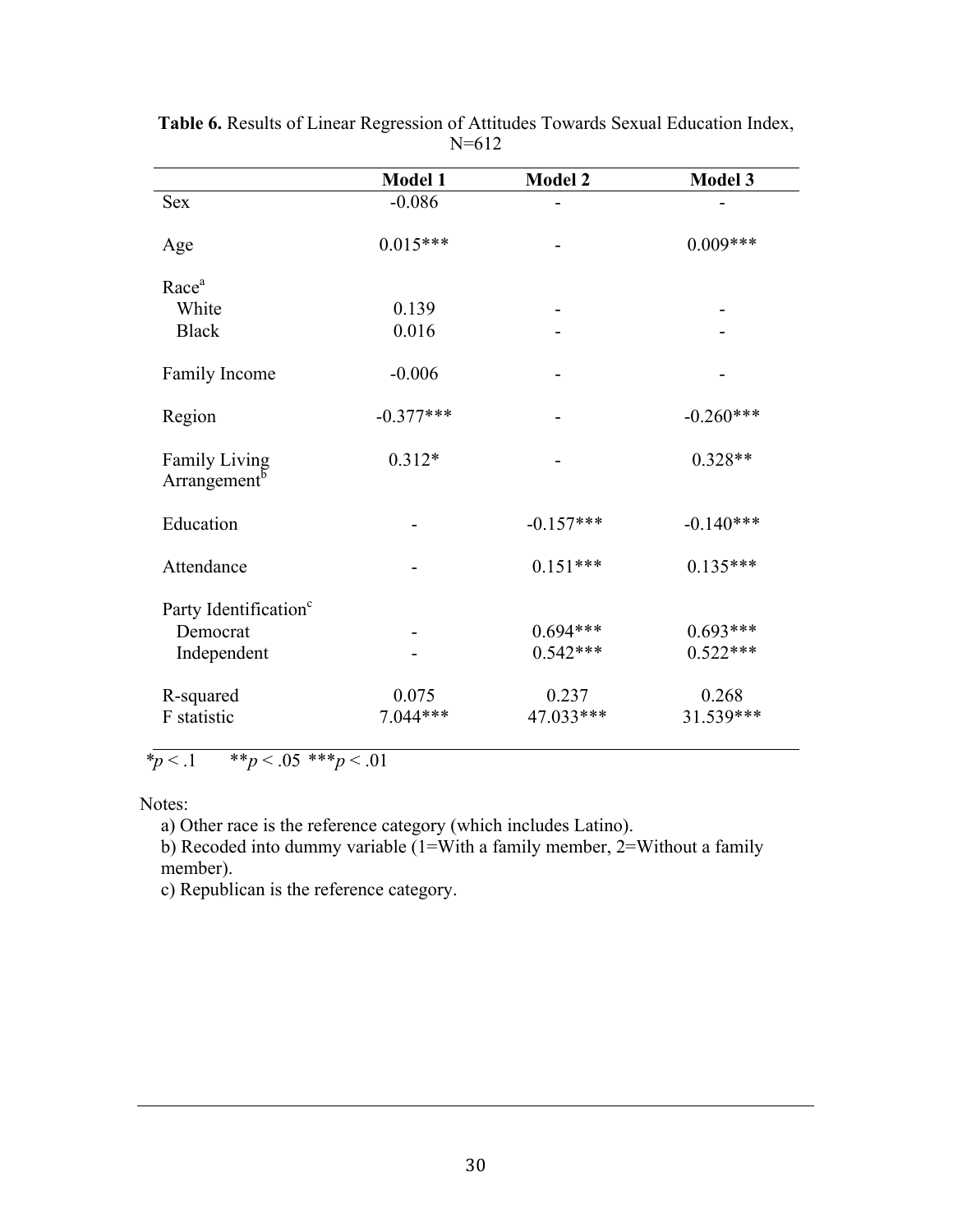|                                                  | Model 1     | <b>Model 2</b> | <b>Model 3</b> |
|--------------------------------------------------|-------------|----------------|----------------|
| <b>Sex</b>                                       | $-0.086$    |                |                |
| Age                                              | $0.015***$  |                | $0.009***$     |
| Race <sup>a</sup>                                |             |                |                |
| White                                            | 0.139       |                |                |
| <b>Black</b>                                     | 0.016       |                |                |
| Family Income                                    | $-0.006$    |                |                |
| Region                                           | $-0.377***$ |                | $-0.260***$    |
| <b>Family Living</b><br>Arrangement <sup>b</sup> | $0.312*$    |                | $0.328**$      |
| Education                                        |             | $-0.157***$    | $-0.140***$    |
| Attendance                                       |             | $0.151***$     | $0.135***$     |
| Party Identification <sup>c</sup>                |             |                |                |
| Democrat                                         |             | $0.694***$     | $0.693***$     |
| Independent                                      |             | $0.542***$     | $0.522***$     |
| R-squared                                        | 0.075       | 0.237          | 0.268          |
| F statistic                                      | $7.044***$  | 47.033***      | 31.539***      |
|                                                  |             |                |                |

**Table 6.** Results of Linear Regression of Attitudes Towards Sexual Education Index, N=612

 $p < 0.1$   $* p < 0.05$   $* p < 0.01$ 

Notes:

a) Other race is the reference category (which includes Latino).

b) Recoded into dummy variable (1=With a family member, 2=Without a family member).

c) Republican is the reference category.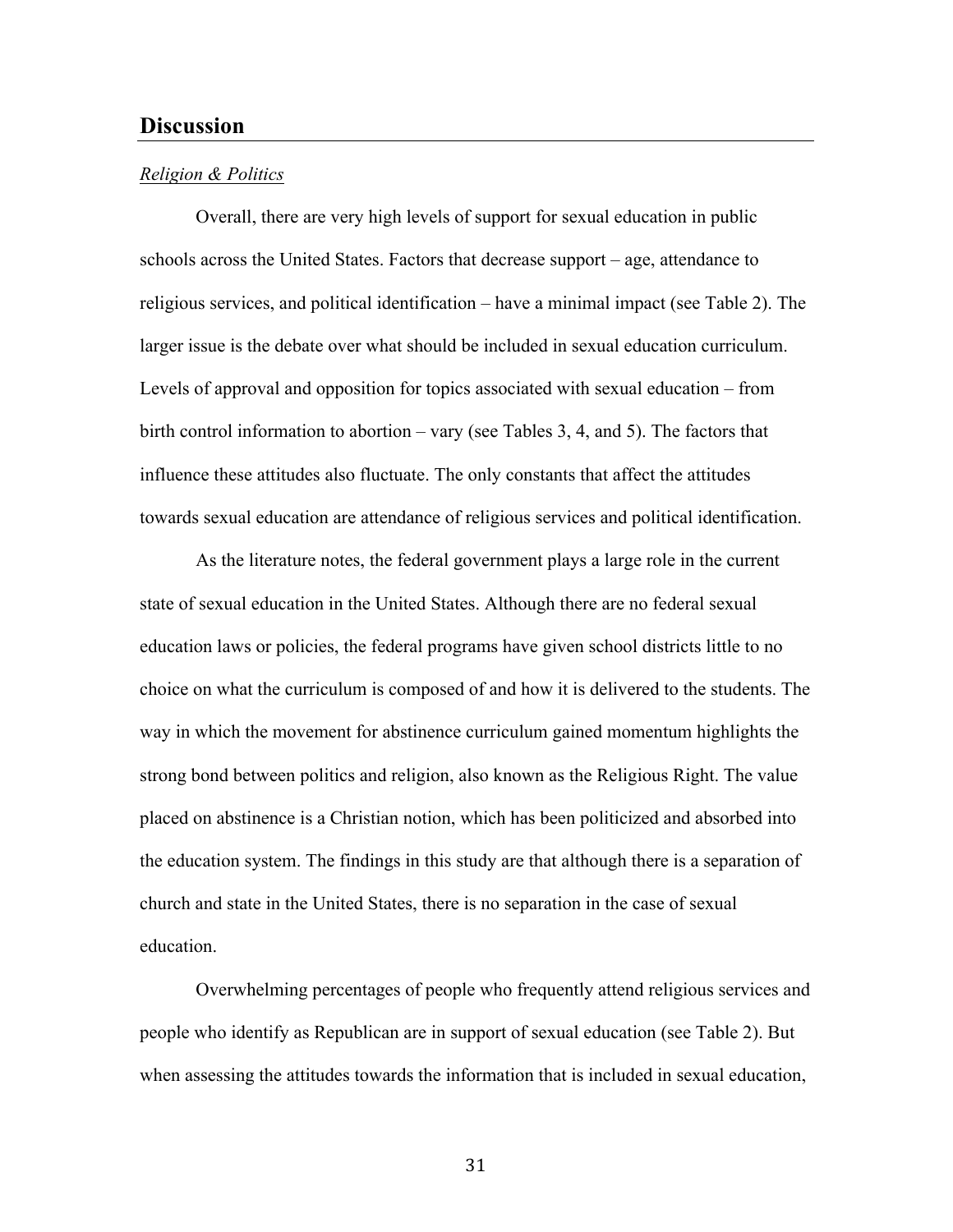## **Discussion**

#### *Religion & Politics*

Overall, there are very high levels of support for sexual education in public schools across the United States. Factors that decrease support – age, attendance to religious services, and political identification – have a minimal impact (see Table 2). The larger issue is the debate over what should be included in sexual education curriculum. Levels of approval and opposition for topics associated with sexual education – from birth control information to abortion – vary (see Tables 3, 4, and 5). The factors that influence these attitudes also fluctuate. The only constants that affect the attitudes towards sexual education are attendance of religious services and political identification.

As the literature notes, the federal government plays a large role in the current state of sexual education in the United States. Although there are no federal sexual education laws or policies, the federal programs have given school districts little to no choice on what the curriculum is composed of and how it is delivered to the students. The way in which the movement for abstinence curriculum gained momentum highlights the strong bond between politics and religion, also known as the Religious Right. The value placed on abstinence is a Christian notion, which has been politicized and absorbed into the education system. The findings in this study are that although there is a separation of church and state in the United States, there is no separation in the case of sexual education.

Overwhelming percentages of people who frequently attend religious services and people who identify as Republican are in support of sexual education (see Table 2). But when assessing the attitudes towards the information that is included in sexual education,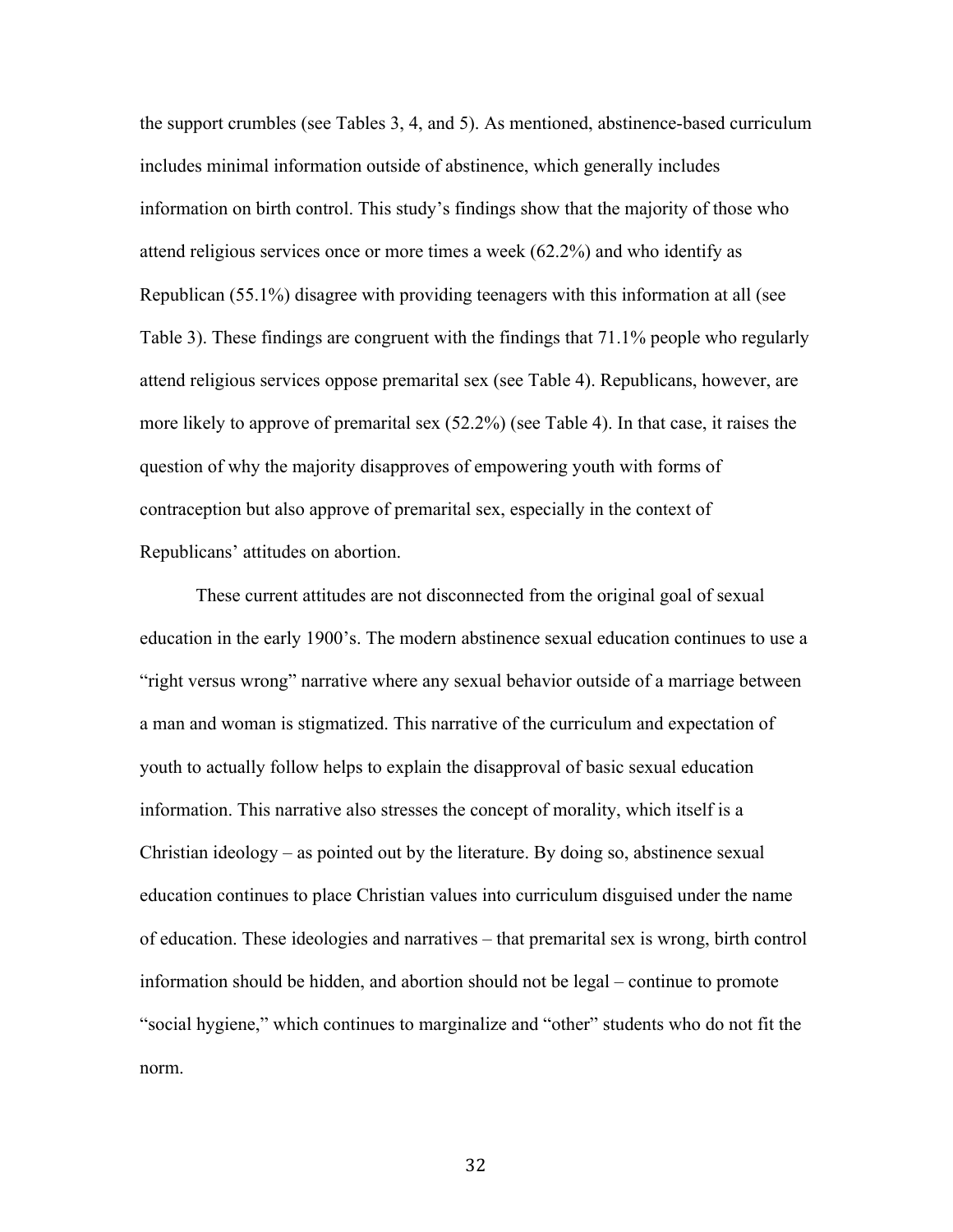the support crumbles (see Tables 3, 4, and 5). As mentioned, abstinence-based curriculum includes minimal information outside of abstinence, which generally includes information on birth control. This study's findings show that the majority of those who attend religious services once or more times a week (62.2%) and who identify as Republican (55.1%) disagree with providing teenagers with this information at all (see Table 3). These findings are congruent with the findings that 71.1% people who regularly attend religious services oppose premarital sex (see Table 4). Republicans, however, are more likely to approve of premarital sex (52.2%) (see Table 4). In that case, it raises the question of why the majority disapproves of empowering youth with forms of contraception but also approve of premarital sex, especially in the context of Republicans' attitudes on abortion.

These current attitudes are not disconnected from the original goal of sexual education in the early 1900's. The modern abstinence sexual education continues to use a "right versus wrong" narrative where any sexual behavior outside of a marriage between a man and woman is stigmatized. This narrative of the curriculum and expectation of youth to actually follow helps to explain the disapproval of basic sexual education information. This narrative also stresses the concept of morality, which itself is a Christian ideology – as pointed out by the literature. By doing so, abstinence sexual education continues to place Christian values into curriculum disguised under the name of education. These ideologies and narratives – that premarital sex is wrong, birth control information should be hidden, and abortion should not be legal – continue to promote "social hygiene," which continues to marginalize and "other" students who do not fit the norm.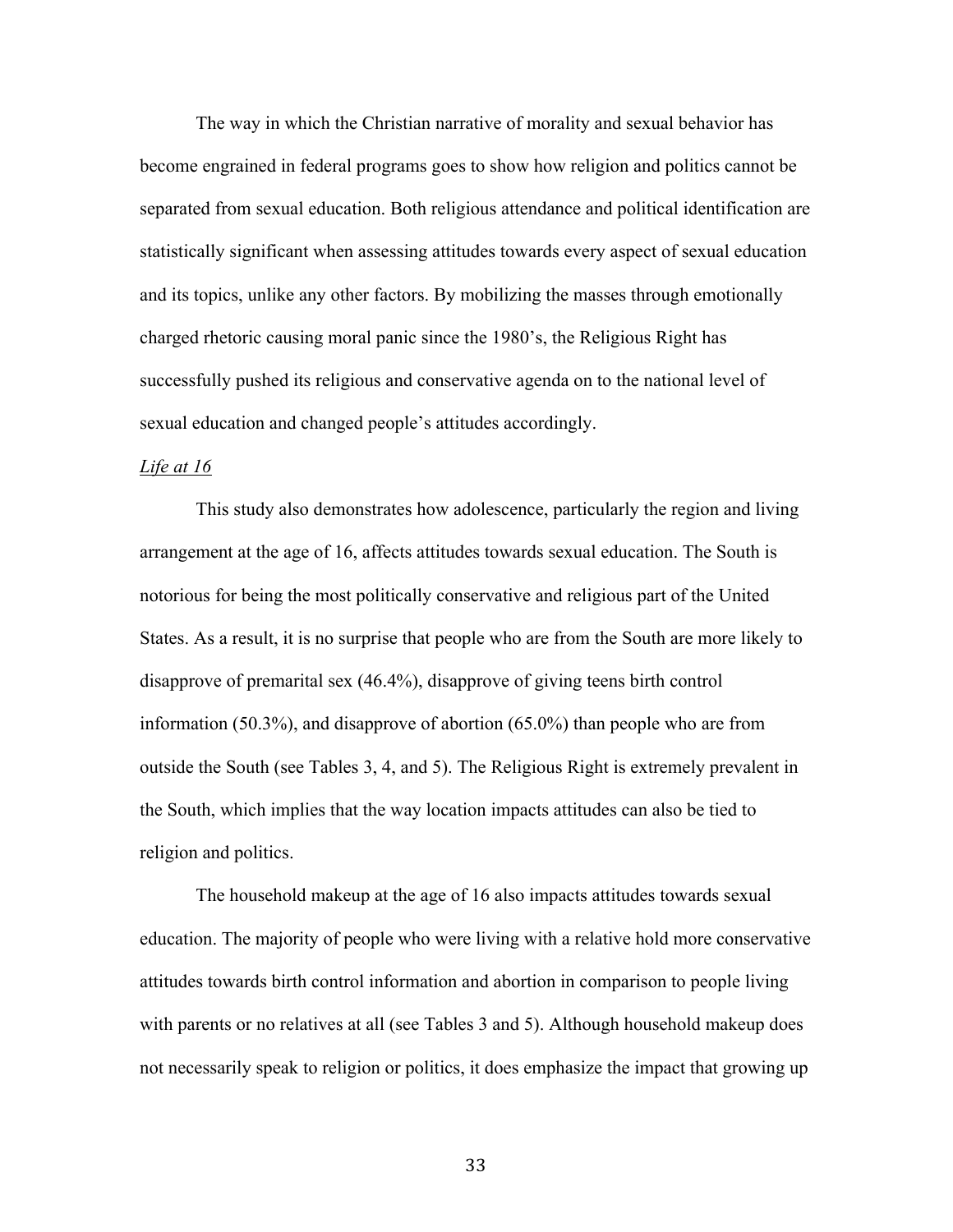The way in which the Christian narrative of morality and sexual behavior has become engrained in federal programs goes to show how religion and politics cannot be separated from sexual education. Both religious attendance and political identification are statistically significant when assessing attitudes towards every aspect of sexual education and its topics, unlike any other factors. By mobilizing the masses through emotionally charged rhetoric causing moral panic since the 1980's, the Religious Right has successfully pushed its religious and conservative agenda on to the national level of sexual education and changed people's attitudes accordingly.

#### *Life at 16*

This study also demonstrates how adolescence, particularly the region and living arrangement at the age of 16, affects attitudes towards sexual education. The South is notorious for being the most politically conservative and religious part of the United States. As a result, it is no surprise that people who are from the South are more likely to disapprove of premarital sex (46.4%), disapprove of giving teens birth control information (50.3%), and disapprove of abortion (65.0%) than people who are from outside the South (see Tables 3, 4, and 5). The Religious Right is extremely prevalent in the South, which implies that the way location impacts attitudes can also be tied to religion and politics.

The household makeup at the age of 16 also impacts attitudes towards sexual education. The majority of people who were living with a relative hold more conservative attitudes towards birth control information and abortion in comparison to people living with parents or no relatives at all (see Tables 3 and 5). Although household makeup does not necessarily speak to religion or politics, it does emphasize the impact that growing up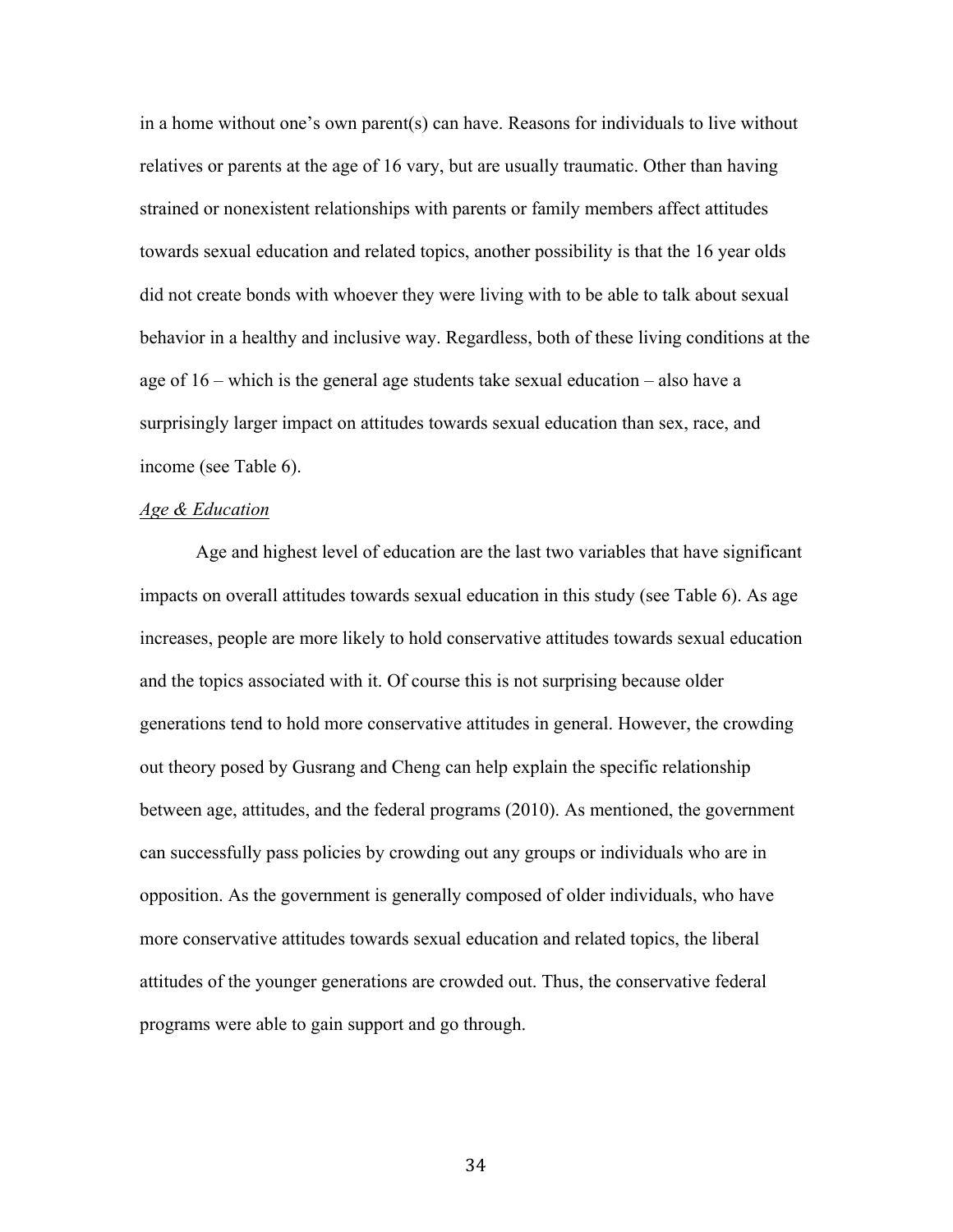in a home without one's own parent(s) can have. Reasons for individuals to live without relatives or parents at the age of 16 vary, but are usually traumatic. Other than having strained or nonexistent relationships with parents or family members affect attitudes towards sexual education and related topics, another possibility is that the 16 year olds did not create bonds with whoever they were living with to be able to talk about sexual behavior in a healthy and inclusive way. Regardless, both of these living conditions at the age of 16 – which is the general age students take sexual education – also have a surprisingly larger impact on attitudes towards sexual education than sex, race, and income (see Table 6).

#### *Age & Education*

Age and highest level of education are the last two variables that have significant impacts on overall attitudes towards sexual education in this study (see Table 6). As age increases, people are more likely to hold conservative attitudes towards sexual education and the topics associated with it. Of course this is not surprising because older generations tend to hold more conservative attitudes in general. However, the crowding out theory posed by Gusrang and Cheng can help explain the specific relationship between age, attitudes, and the federal programs (2010). As mentioned, the government can successfully pass policies by crowding out any groups or individuals who are in opposition. As the government is generally composed of older individuals, who have more conservative attitudes towards sexual education and related topics, the liberal attitudes of the younger generations are crowded out. Thus, the conservative federal programs were able to gain support and go through.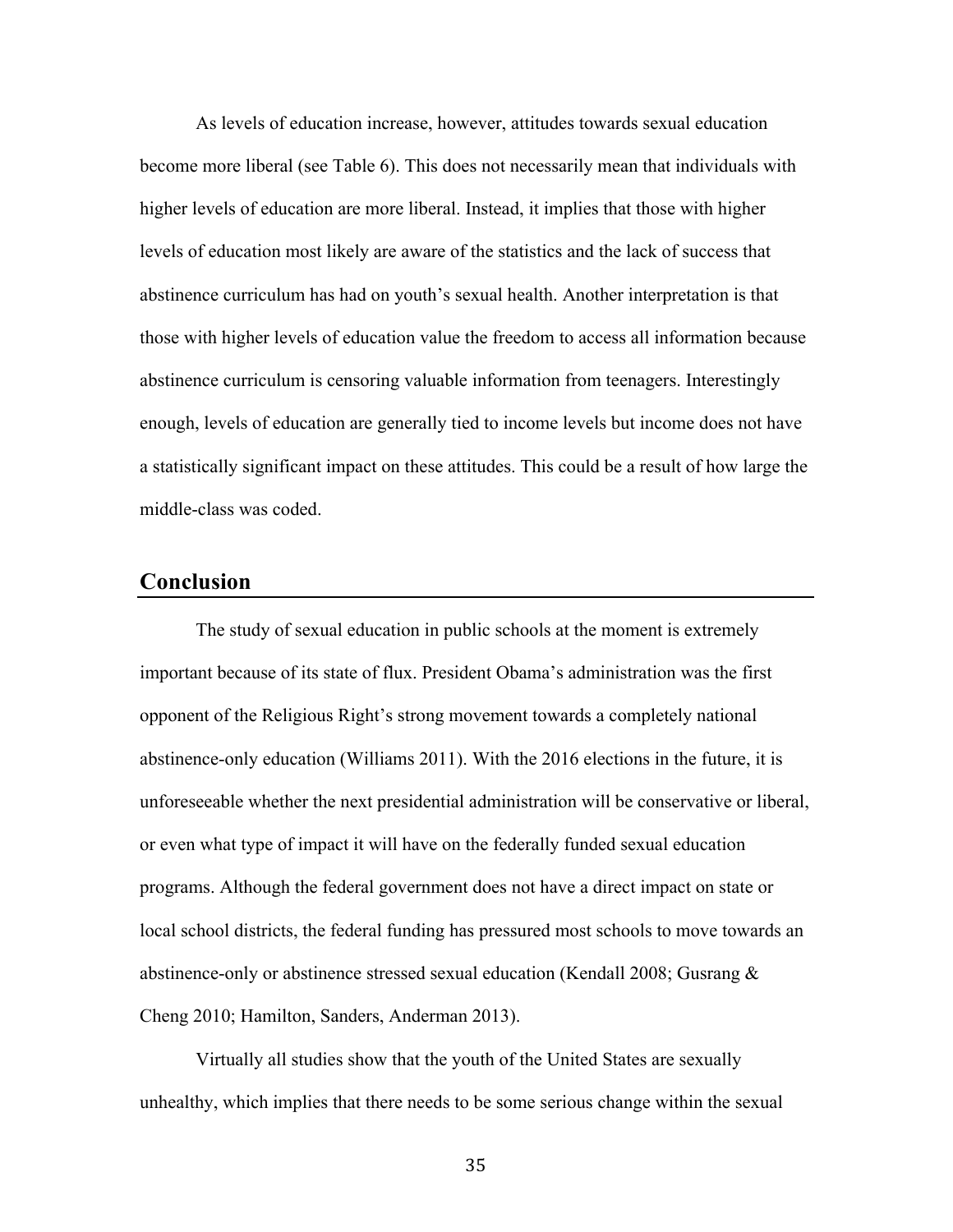As levels of education increase, however, attitudes towards sexual education become more liberal (see Table 6). This does not necessarily mean that individuals with higher levels of education are more liberal. Instead, it implies that those with higher levels of education most likely are aware of the statistics and the lack of success that abstinence curriculum has had on youth's sexual health. Another interpretation is that those with higher levels of education value the freedom to access all information because abstinence curriculum is censoring valuable information from teenagers. Interestingly enough, levels of education are generally tied to income levels but income does not have a statistically significant impact on these attitudes. This could be a result of how large the middle-class was coded.

#### **Conclusion**

The study of sexual education in public schools at the moment is extremely important because of its state of flux. President Obama's administration was the first opponent of the Religious Right's strong movement towards a completely national abstinence-only education (Williams 2011). With the 2016 elections in the future, it is unforeseeable whether the next presidential administration will be conservative or liberal, or even what type of impact it will have on the federally funded sexual education programs. Although the federal government does not have a direct impact on state or local school districts, the federal funding has pressured most schools to move towards an abstinence-only or abstinence stressed sexual education (Kendall 2008; Gusrang & Cheng 2010; Hamilton, Sanders, Anderman 2013).

Virtually all studies show that the youth of the United States are sexually unhealthy, which implies that there needs to be some serious change within the sexual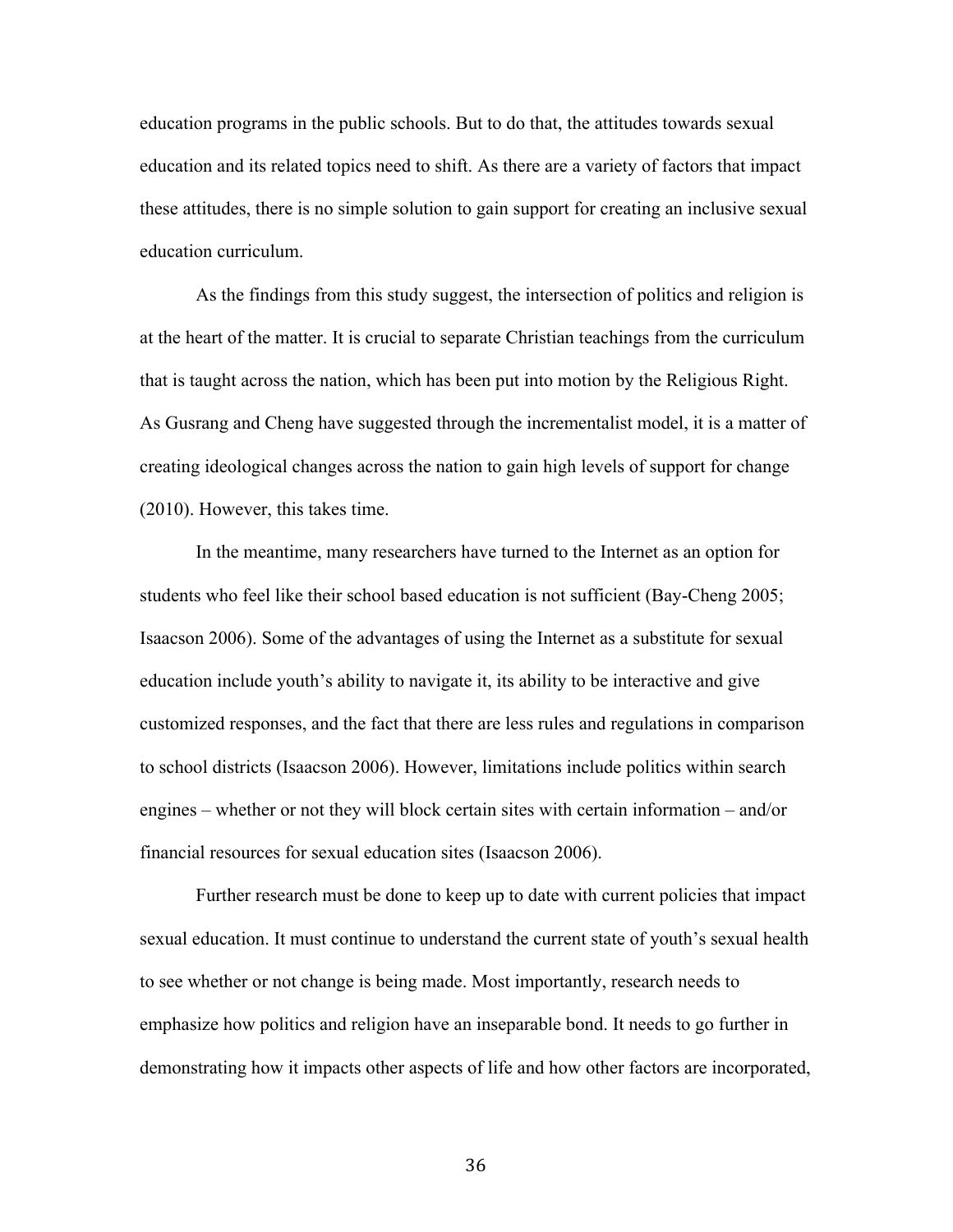education programs in the public schools. But to do that, the attitudes towards sexual education and its related topics need to shift. As there are a variety of factors that impact these attitudes, there is no simple solution to gain support for creating an inclusive sexual education curriculum.

As the findings from this study suggest, the intersection of politics and religion is at the heart of the matter. It is crucial to separate Christian teachings from the curriculum that is taught across the nation, which has been put into motion by the Religious Right. As Gusrang and Cheng have suggested through the incrementalist model, it is a matter of creating ideological changes across the nation to gain high levels of support for change (2010). However, this takes time.

In the meantime, many researchers have turned to the Internet as an option for students who feel like their school based education is not sufficient (Bay-Cheng 2005; Isaacson 2006). Some of the advantages of using the Internet as a substitute for sexual education include youth's ability to navigate it, its ability to be interactive and give customized responses, and the fact that there are less rules and regulations in comparison to school districts (Isaacson 2006). However, limitations include politics within search engines – whether or not they will block certain sites with certain information – and/or financial resources for sexual education sites (Isaacson 2006).

Further research must be done to keep up to date with current policies that impact sexual education. It must continue to understand the current state of youth's sexual health to see whether or not change is being made. Most importantly, research needs to emphasize how politics and religion have an inseparable bond. It needs to go further in demonstrating how it impacts other aspects of life and how other factors are incorporated,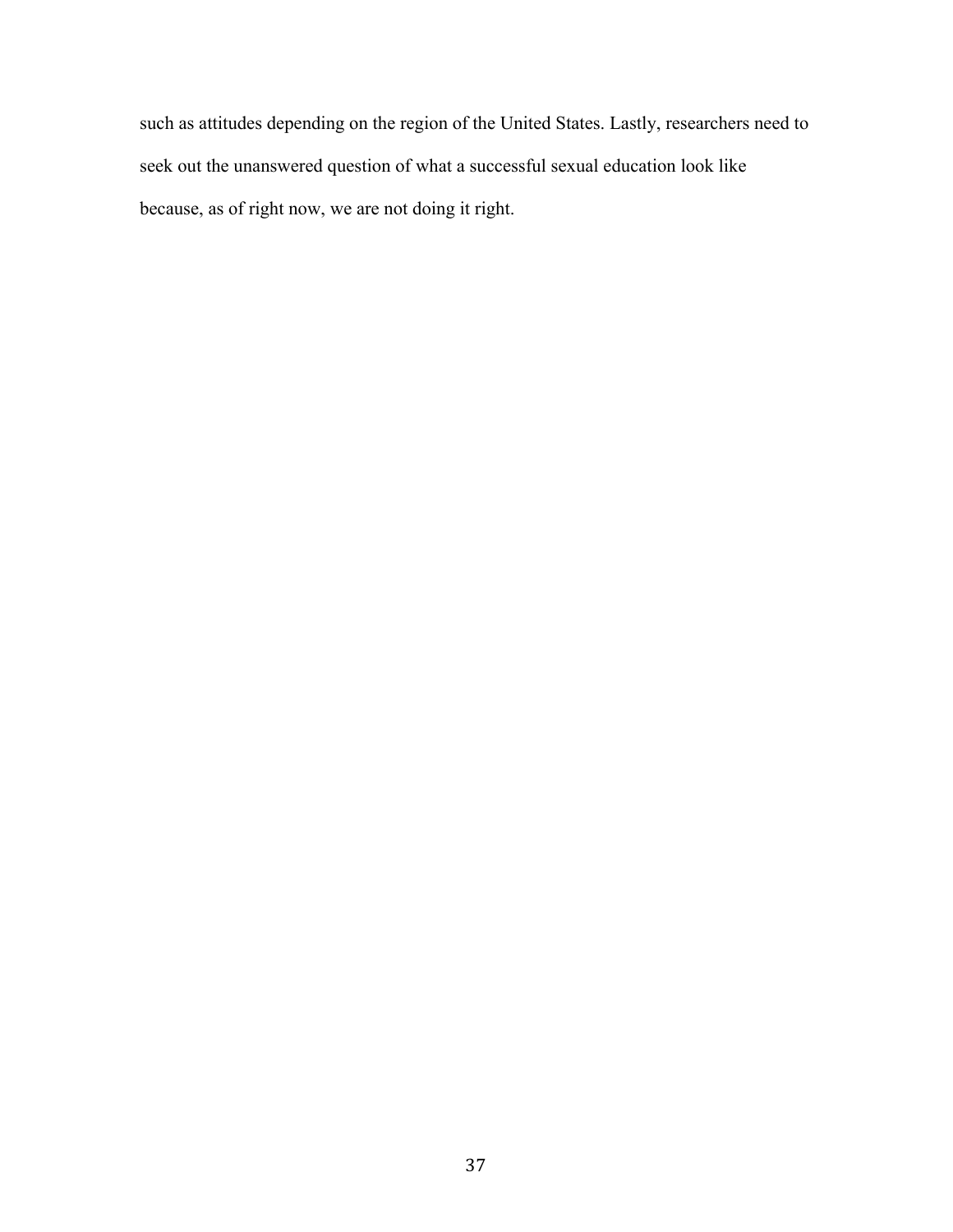such as attitudes depending on the region of the United States. Lastly, researchers need to seek out the unanswered question of what a successful sexual education look like because, as of right now, we are not doing it right.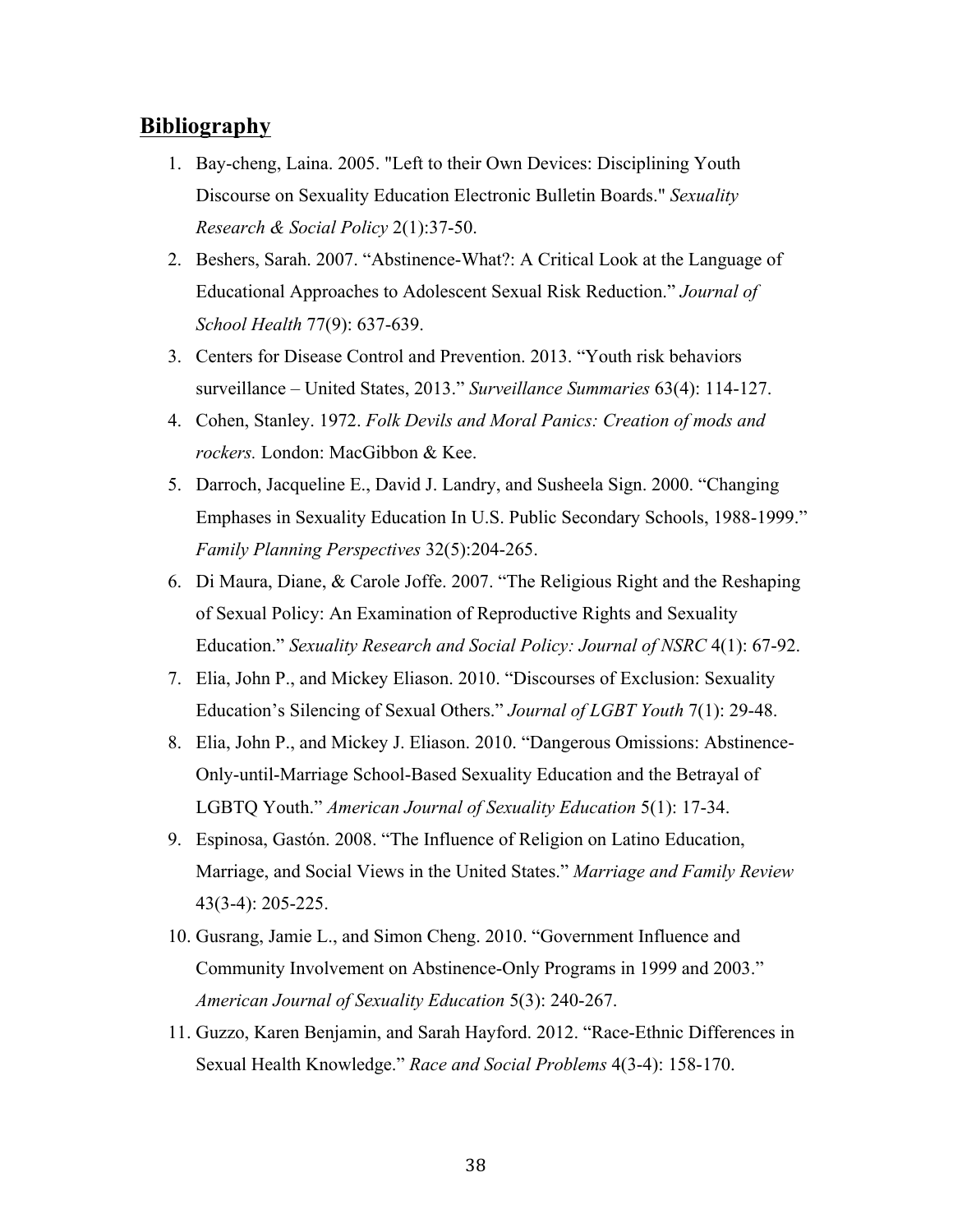# **Bibliography**

- 1. Bay-cheng, Laina. 2005. "Left to their Own Devices: Disciplining Youth Discourse on Sexuality Education Electronic Bulletin Boards." *Sexuality Research & Social Policy* 2(1):37-50.
- 2. Beshers, Sarah. 2007. "Abstinence-What?: A Critical Look at the Language of Educational Approaches to Adolescent Sexual Risk Reduction." *Journal of School Health* 77(9): 637-639.
- 3. Centers for Disease Control and Prevention. 2013. "Youth risk behaviors surveillance – United States, 2013." *Surveillance Summaries* 63(4): 114-127.
- 4. Cohen, Stanley. 1972. *Folk Devils and Moral Panics: Creation of mods and rockers.* London: MacGibbon & Kee.
- 5. Darroch, Jacqueline E., David J. Landry, and Susheela Sign. 2000. "Changing Emphases in Sexuality Education In U.S. Public Secondary Schools, 1988-1999." *Family Planning Perspectives* 32(5):204-265.
- 6. Di Maura, Diane, & Carole Joffe. 2007. "The Religious Right and the Reshaping of Sexual Policy: An Examination of Reproductive Rights and Sexuality Education." *Sexuality Research and Social Policy: Journal of NSRC* 4(1): 67-92.
- 7. Elia, John P., and Mickey Eliason. 2010. "Discourses of Exclusion: Sexuality Education's Silencing of Sexual Others." *Journal of LGBT Youth* 7(1): 29-48.
- 8. Elia, John P., and Mickey J. Eliason. 2010. "Dangerous Omissions: Abstinence-Only-until-Marriage School-Based Sexuality Education and the Betrayal of LGBTQ Youth." *American Journal of Sexuality Education* 5(1): 17-34.
- 9. Espinosa, Gastón. 2008. "The Influence of Religion on Latino Education, Marriage, and Social Views in the United States." *Marriage and Family Review*  43(3-4): 205-225.
- 10. Gusrang, Jamie L., and Simon Cheng. 2010. "Government Influence and Community Involvement on Abstinence-Only Programs in 1999 and 2003." *American Journal of Sexuality Education* 5(3): 240-267.
- 11. Guzzo, Karen Benjamin, and Sarah Hayford. 2012. "Race-Ethnic Differences in Sexual Health Knowledge." *Race and Social Problems* 4(3-4): 158-170.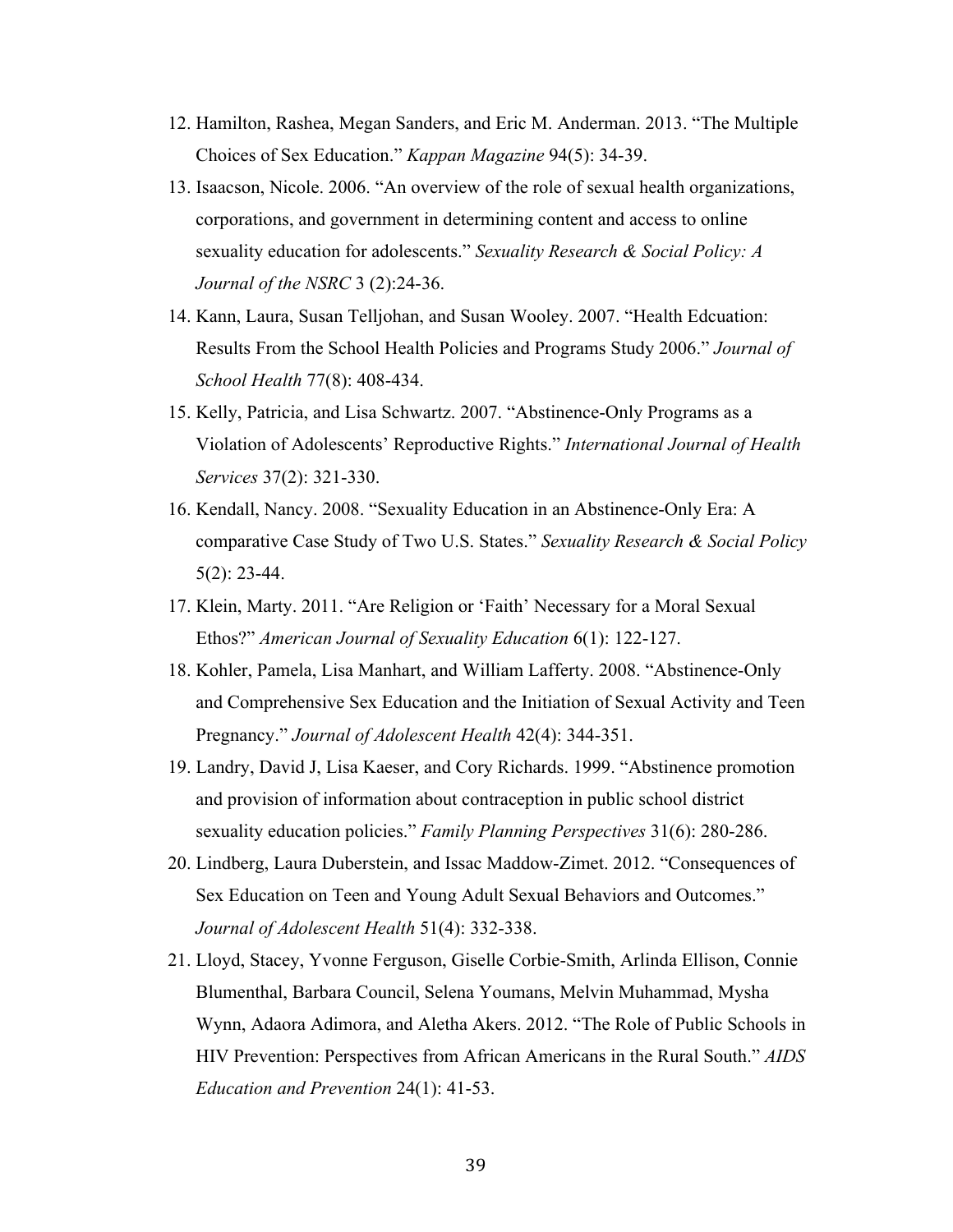- 12. Hamilton, Rashea, Megan Sanders, and Eric M. Anderman. 2013. "The Multiple Choices of Sex Education." *Kappan Magazine* 94(5): 34-39.
- 13. Isaacson, Nicole. 2006. "An overview of the role of sexual health organizations, corporations, and government in determining content and access to online sexuality education for adolescents." *Sexuality Research & Social Policy: A Journal of the NSRC* 3 (2):24-36.
- 14. Kann, Laura, Susan Telljohan, and Susan Wooley. 2007. "Health Edcuation: Results From the School Health Policies and Programs Study 2006." *Journal of School Health* 77(8): 408-434.
- 15. Kelly, Patricia, and Lisa Schwartz. 2007. "Abstinence-Only Programs as a Violation of Adolescents' Reproductive Rights." *International Journal of Health Services* 37(2): 321-330.
- 16. Kendall, Nancy. 2008. "Sexuality Education in an Abstinence-Only Era: A comparative Case Study of Two U.S. States." *Sexuality Research & Social Policy*  5(2): 23-44.
- 17. Klein, Marty. 2011. "Are Religion or 'Faith' Necessary for a Moral Sexual Ethos?" *American Journal of Sexuality Education* 6(1): 122-127.
- 18. Kohler, Pamela, Lisa Manhart, and William Lafferty. 2008. "Abstinence-Only and Comprehensive Sex Education and the Initiation of Sexual Activity and Teen Pregnancy." *Journal of Adolescent Health* 42(4): 344-351.
- 19. Landry, David J, Lisa Kaeser, and Cory Richards. 1999. "Abstinence promotion and provision of information about contraception in public school district sexuality education policies." *Family Planning Perspectives* 31(6): 280-286.
- 20. Lindberg, Laura Duberstein, and Issac Maddow-Zimet. 2012. "Consequences of Sex Education on Teen and Young Adult Sexual Behaviors and Outcomes." *Journal of Adolescent Health* 51(4): 332-338.
- 21. Lloyd, Stacey, Yvonne Ferguson, Giselle Corbie-Smith, Arlinda Ellison, Connie Blumenthal, Barbara Council, Selena Youmans, Melvin Muhammad, Mysha Wynn, Adaora Adimora, and Aletha Akers. 2012. "The Role of Public Schools in HIV Prevention: Perspectives from African Americans in the Rural South." *AIDS Education and Prevention* 24(1): 41-53.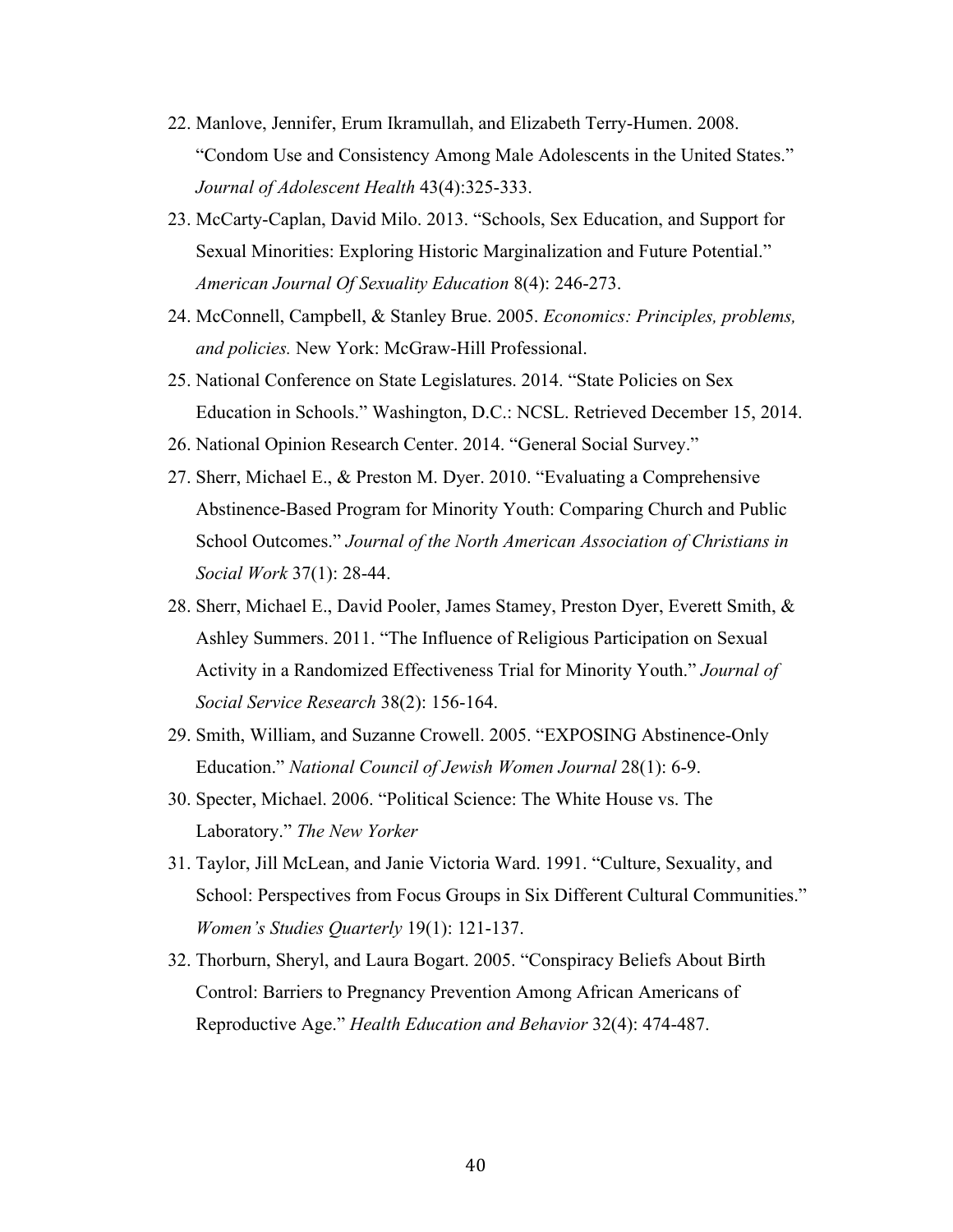- 22. Manlove, Jennifer, Erum Ikramullah, and Elizabeth Terry-Humen. 2008. "Condom Use and Consistency Among Male Adolescents in the United States." *Journal of Adolescent Health* 43(4):325-333.
- 23. McCarty-Caplan, David Milo. 2013. "Schools, Sex Education, and Support for Sexual Minorities: Exploring Historic Marginalization and Future Potential." *American Journal Of Sexuality Education* 8(4): 246-273.
- 24. McConnell, Campbell, & Stanley Brue. 2005. *Economics: Principles, problems, and policies.* New York: McGraw-Hill Professional.
- 25. National Conference on State Legislatures. 2014. "State Policies on Sex Education in Schools." Washington, D.C.: NCSL. Retrieved December 15, 2014.
- 26. National Opinion Research Center. 2014. "General Social Survey."
- 27. Sherr, Michael E., & Preston M. Dyer. 2010. "Evaluating a Comprehensive Abstinence-Based Program for Minority Youth: Comparing Church and Public School Outcomes." *Journal of the North American Association of Christians in Social Work* 37(1): 28-44.
- 28. Sherr, Michael E., David Pooler, James Stamey, Preston Dyer, Everett Smith, & Ashley Summers. 2011. "The Influence of Religious Participation on Sexual Activity in a Randomized Effectiveness Trial for Minority Youth." *Journal of Social Service Research* 38(2): 156-164.
- 29. Smith, William, and Suzanne Crowell. 2005. "EXPOSING Abstinence-Only Education." *National Council of Jewish Women Journal* 28(1): 6-9.
- 30. Specter, Michael. 2006. "Political Science: The White House vs. The Laboratory." *The New Yorker*
- 31. Taylor, Jill McLean, and Janie Victoria Ward. 1991. "Culture, Sexuality, and School: Perspectives from Focus Groups in Six Different Cultural Communities." *Women's Studies Quarterly* 19(1): 121-137.
- 32. Thorburn, Sheryl, and Laura Bogart. 2005. "Conspiracy Beliefs About Birth Control: Barriers to Pregnancy Prevention Among African Americans of Reproductive Age." *Health Education and Behavior* 32(4): 474-487.